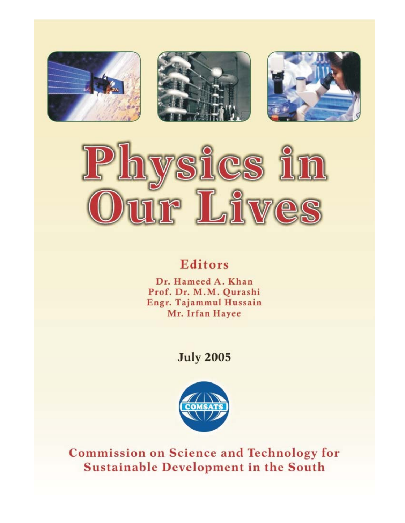







# **Editors**

Dr. Hameed A. Khan Prof. Dr. M.M. Qurashi Engr. Tajammul Hussain Mr. Irfan Hayee

# **July 2005**



**Commission on Science and Technology for** Sustainable Development in the South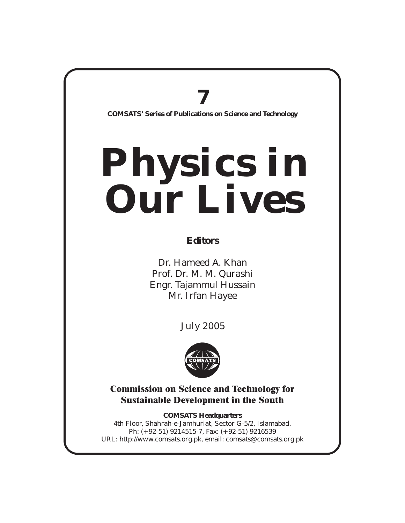# **7**

**COMSATS' Series of Publications on Science and Technology**

# **Physics in Our Lives**

## **Editors**

Dr. Hameed A. Khan Prof. Dr. M. M. Qurashi Engr. Tajammul Hussain Mr. Irfan Hayee

July 2005



Commission on Science and Technology for Sustainable Development in the South

4th Floor, Shahrah-e-Jamhuriat, Sector G-5/2, Islamabad. Ph: (+92-51) 9214515-7, Fax: (+92-51) 9216539 URL: http://www.comsats.org.pk, email: comsats@comsats.org.pk **COMSATS Headquarters**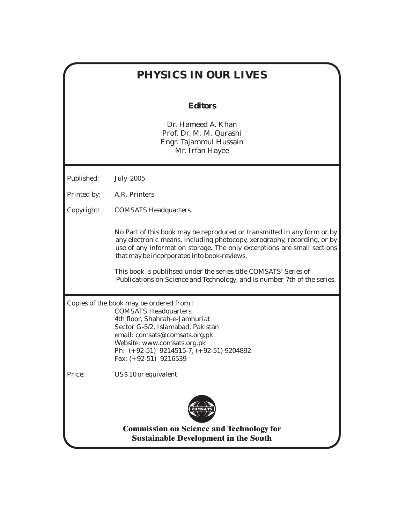# **PHYSICS IN OUR LIVES Editors** Dr. Hameed A. Khan Prof. Dr. M. M. Qurashi Engr. Tajammul Hussain Mr. Irfan Hayee Published: July 2005 Printed by: A.R. Printers Copyright: COMSATS Headquarters No Part of this book may be reproduced or transmitted in any form or by any electronic means, including photocopy, xerography, recording, or by use of any information storage. The only excerptions are small sections that may be incorporated into book-reviews. This book is publihsed under the series title *COMSATS' Series of Publications on Science and Technology, and is number 7th of the series.* Copies of the book may be ordered from : COMSATS Headquarters 4th floor, Shahrah-e-Jamhuriat Sector G-5/2, Islamabad, Pakistan email: comsats@comsats.org.pk Website: www.comsats.org.pk Ph: (+92-51) 9214515-7, (+92-51) 9204892 Fax: (+92-51) 9216539 Price: US\$ 10 or equivalent Commission on Science and Technology for Sustainable Development in the South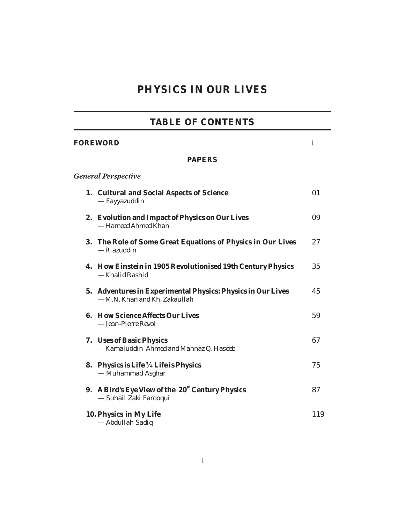# **PHYSICS IN OUR LIVES**

# **TABLE OF CONTENTS**

| <b>FOREWORD</b> |                                                                                              |     |
|-----------------|----------------------------------------------------------------------------------------------|-----|
|                 | <b>PAPERS</b>                                                                                |     |
|                 | <b>General Perspective</b>                                                                   |     |
|                 | 1. Cultural and Social Aspects of Science<br>— Fayyazuddin                                   | 01  |
|                 | 2. Evolution and Impact of Physics on Our Lives<br>- Hameed Ahmed Khan                       | 09  |
|                 | 3. The Role of Some Great Equations of Physics in Our Lives<br>— Riazuddin                   | 27  |
|                 | 4. How Einstein in 1905 Revolutionised 19th Century Physics<br>— Khalid Rashid               | 35  |
|                 | 5. Adventures in Experimental Physics: Physics in Our Lives<br>- M.N. Khan and Kh. Zakaullah | 45  |
|                 | 6. How Science Affects Our Lives<br>- Jean-Pierre Revol                                      | 59  |
|                 | 7. Uses of Basic Physics<br>- Kamaluddin Ahmed and Mahnaz Q. Haseeb                          | 67  |
|                 | 8. Physics is Life Life is Physics<br>— Muhammad Asghar                                      | 75  |
|                 | 9. A Bird's Eye View of the 20 <sup>th</sup> Century Physics<br>— Suhail Zaki Farooqui       | 87  |
|                 | 10. Physics in My Life<br>- Abdullah Sadiq                                                   | 119 |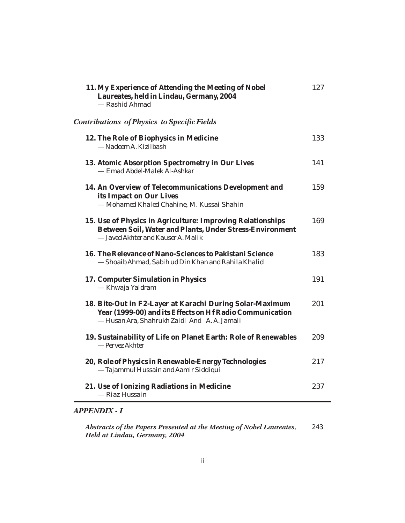| 11. My Experience of Attending the Meeting of Nobel<br>Laureates, held in Lindau, Germany, 2004<br>- Rashid Ahmad                                                   | 127 |
|---------------------------------------------------------------------------------------------------------------------------------------------------------------------|-----|
| <b>Contributions of Physics to Specific Fields</b>                                                                                                                  |     |
| 12. The Role of Biophysics in Medicine<br>— Nadeem A. Kizilbash                                                                                                     | 133 |
| 13. Atomic Absorption Spectrometry in Our Lives<br>- Emad Abdel-Malek Al-Ashkar                                                                                     | 141 |
| 14. An Overview of Telecommunications Development and<br>its Impact on Our Lives<br>- Mohamed Khaled Chahine, M. Kussai Shahin                                      | 159 |
| 15. Use of Physics in Agriculture: Improving Relationships<br>Between Soil, Water and Plants, Under Stress-Environment<br>- Javed Akhter and Kauser A. Malik        | 169 |
| 16. The Relevance of Nano-Sciences to Pakistani Science<br>- Shoaib Ahmad, Sabih ud Din Khan and Rahila Khalid                                                      | 183 |
| 17. Computer Simulation in Physics<br>— Khwaja Yaldram                                                                                                              | 191 |
| 18. Bite-Out in F2-Layer at Karachi During Solar-Maximum<br>Year (1999-00) and its Effects on Hf Radio Communication<br>- Husan Ara, Shahrukh Zaidi And A.A. Jamali | 201 |
| 19. Sustainability of Life on Planet Earth: Role of Renewables<br>-Pervez Akhter                                                                                    | 209 |
| 20, Role of Physics in Renewable-Energy Technologies<br>- Tajammul Hussain and Aamir Siddiqui                                                                       | 217 |
| 21. Use of Ionizing Radiations in Medicine<br>- Riaz Hussain                                                                                                        | 237 |

## *APPENDIX - I*

243 *Abstracts of the Papers Presented at the Meeting of Nobel Laureates, Held at Lindau, Germany, 2004*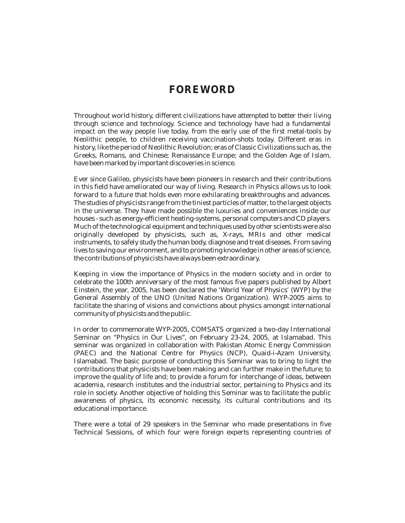## **FOREWORD**

Throughout world history, different civilizations have attempted to better their living through science and technology. Science and technology have had a fundamental impact on the way people live today, from the early use of the first metal-tools by Neolithic people, to children receiving vaccination-shots today. Different eras in history, like the period of Neolithic Revolution; eras of Classic Civilizations such as, the Greeks, Romans, and Chinese; Renaissance Europe; and the Golden Age of Islam, have been marked by important discoveries in science.

Ever since Galileo, physicists have been pioneers in research and their contributions in this field have ameliorated our way of living. Research in Physics allows us to look forward to a future that holds even more exhilarating breakthroughs and advances. The studies of physicists range from the tiniest particles of matter, to the largest objects in the universe. They have made possible the luxuries and conveniences inside our houses - such as energy-efficient heating-systems, personal computers and CD players. Much of the technological equipment and techniques used by other scientists were also originally developed by physicists, such as, X-rays, MRIs and other medical instruments, to safely study the human body, diagnose and treat diseases. From saving lives to saving our environment, and to promoting knowledge in other areas of science, the contributions of physicists have always been extraordinary.

Keeping in view the importance of Physics in the modern society and in order to celebrate the 100th anniversary of the most famous five papers published by Albert Einstein, the year, 2005, has been declared the 'World Year of Physics' (WYP) by the General Assembly of the UNO (United Nations Organization). WYP-2005 aims to facilitate the sharing of visions and convictions about physics amongst international community of physicists and the public.

In order to commemorate WYP-2005, COMSATS organized a two-day International Seminar on "Physics in Our Lives", on February 23-24, 2005, at Islamabad. This seminar was organized in collaboration with Pakistan Atomic Energy Commission (PAEC) and the National Centre for Physics (NCP), Quaid-i-Azam University, Islamabad. The basic purpose of conducting this Seminar was to bring to light the contributions that physicists have been making and can further make in the future; to improve the quality of life and; to provide a forum for interchange of ideas, between academia, research institutes and the industrial sector, pertaining to Physics and its role in society. Another objective of holding this Seminar was to facilitate the public awareness of physics, its economic necessity, its cultural contributions and its educational importance.

There were a total of 29 speakers in the Seminar who made presentations in five Technical Sessions, of which four were foreign experts representing countries of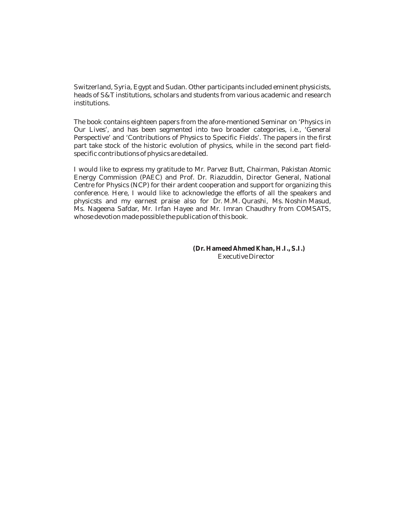Switzerland, Syria, Egypt and Sudan. Other participants included eminent physicists, heads of S&T institutions, scholars and students from various academic and research institutions.

The book contains eighteen papers from the afore-mentioned Seminar on 'Physics in Our Lives', and has been segmented into two broader categories, i.e., 'General Perspective' and 'Contributions of Physics to Specific Fields'. The papers in the first part take stock of the historic evolution of physics, while in the second part fieldspecific contributions of physics are detailed.

I would like to express my gratitude to Mr. Parvez Butt, Chairman, Pakistan Atomic Energy Commission (PAEC) and Prof. Dr. Riazuddin, Director General, National Centre for Physics (NCP) for their ardent cooperation and support for organizing this conference. Here, I would like to acknowledge the efforts of all the speakers and physicsts and my earnest praise also for Dr. M.M. Qurashi, Ms. Noshin Masud, Ms. Nageena Safdar, Mr. Irfan Hayee and Mr. Imran Chaudhry from COMSATS, whose devotion made possible the publication of this book.

> Executive Director **(Dr. Hameed Ahmed Khan, H.I., S.I.)**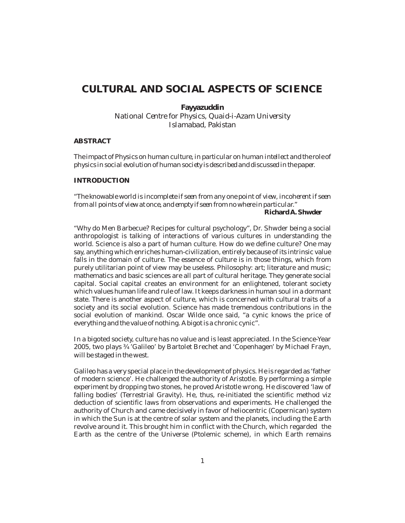## **CULTURAL AND SOCIAL ASPECTS OF SCIENCE**

**Fayyazuddin** *National Centre for Physics, Quaid-i-Azam University Islamabad, Pakistan*

#### **ABSTRACT**

*The impact of Physics on human culture, in particular on human intellect and the role of physics in social evolution of human society is described and discussed in the paper.*

#### **INTRODUCTION**

**Richard A. Shwder** *"The knowable world is incomplete if seen from any one point of view, incoherent if seen from all points of view at once, and empty if seen from no where in particular."*

"Why do Men Barbecue? Recipes for cultural psychology", Dr. Shwder being a social anthropologist is talking of interactions of various cultures in understanding the world. Science is also a part of human culture. How do we define culture? One may say, anything which enriches human-civilization, entirely because of its intrinsic value falls in the domain of culture. The essence of culture is in those things, which from purely utilitarian point of view may be useless. Philosophy: art; literature and music; mathematics and basic sciences are all part of cultural heritage. They generate social capital. Social capital creates an environment for an enlightened, tolerant society which values human life and rule of law. It keeps darkness in human soul in a dormant state. There is another aspect of culture, which is concerned with cultural traits of a society and its social evolution. Science has made tremendous contributions in the social evolution of mankind. Oscar Wilde once said, "a cynic knows the price of everything and the value of nothing. A bigot is a chronic cynic".

In a bigoted society, culture has no value and is least appreciated. In the Science-Year 2005, two plays 'Galileo' by Bartolet Brechet and 'Copenhagen' by Michael Frayn, will be staged in the west.

Galileo has a very special place in the development of physics. He is regarded as 'father of modern science'. He challenged the authority of Aristotle. By performing a simple experiment by dropping two stones, he proved Aristotle wrong. He discovered 'law of falling bodies' (Terrestrial Gravity). He, thus, re-initiated the scientific method viz deduction of scientific laws from observations and experiments. He challenged the authority of Church and came decisively in favor of heliocentric (Copernican) system in which the Sun is at the centre of solar system and the planets, including the Earth revolve around it. This brought him in conflict with the Church, which regarded the Earth as the centre of the Universe (Ptolemic scheme), in which Earth remains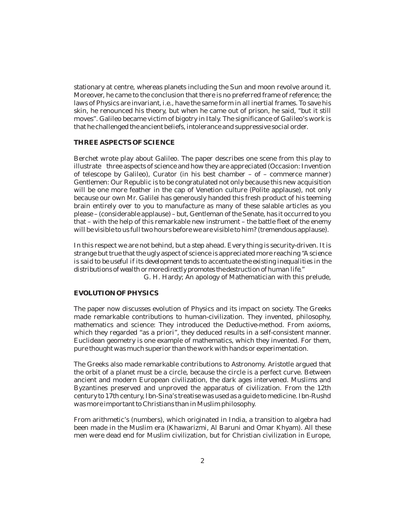stationary at centre, whereas planets including the Sun and moon revolve around it. Moreover, he came to the conclusion that there is no preferred frame of reference; the laws of Physics are invariant, i.e., have the same form in all inertial frames. To save his skin, he renounced his theory, but when he came out of prison, he said, "but it still moves". Galileo became victim of bigotry in Italy. The significance of Galileo's work is that he challenged the ancient beliefs, intolerance and suppressive social order.

#### **THREE ASPECTS OF SCIENCE**

Berchet wrote play about Galileo. The paper describes one scene from this play to illustrate three aspects of science and how they are appreciated (Occasion: Invention of telescope by Galileo), Curator (in his best chamber – of – commerce manner) Gentlemen: Our Republic is to be congratulated not only because this new acquisition will be one more feather in the cap of Venetion culture (Polite applause), not only because our own Mr. Galilei has generously handed this fresh product of his teeming brain entirely over to you to manufacture as many of these salable articles as you please – (considerable applause) – but, Gentleman of the Senate, has it occurred to you that – with the help of this remarkable new instrument – the battle fleet of the enemy will be visible to us full two hours before we are visible to him? (tremendous applause).

In this respect we are not behind, but a step ahead. Every thing is security-driven. It is strange but true that the ugly aspect of science is appreciated more reaching *"A science* " *distributions of wealth or more directly promotes the destruction of human life. is said to be useful if its development tends to accentuate the existing inequalities in the*

G. H. Hardy; An apology of Mathematician with this prelude,

#### **EVOLUTION OF PHYSICS**

The paper now discusses evolution of Physics and its impact on society. The Greeks made remarkable contributions to human-civilization. They invented, philosophy, mathematics and science: They introduced the Deductive-method. From axioms, which they regarded "as a priori", they deduced results in a self-consistent manner. Euclidean geometry is one example of mathematics, which they invented. For them, pure thought was much superior than the work with hands or experimentation.

The Greeks also made remarkable contributions to Astronomy. Aristotle argued that the orbit of a planet must be a circle, because the circle is a perfect curve. Between ancient and modern European civilization, the dark ages intervened. Muslims and Byzantines preserved and unproved the apparatus of civilization. From the 12th century to 17th century, Ibn-Sina's treatise was used as a guide to medicine. Ibn-Rushd was more important to Christians than in Muslim philosophy.

From arithmetic's (numbers), which originated in India, a transition to algebra had been made in the Muslim era (Khawarizmi, Al Baruni and Omar Khyam). All these men were dead end for Muslim civilization, but for Christian civilization in Europe,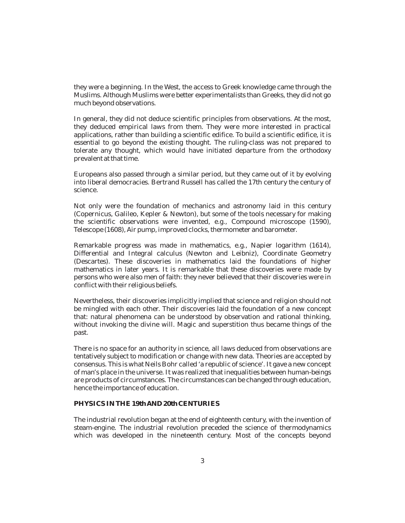they were a beginning. In the West, the access to Greek knowledge came through the Muslims. Although Muslims were better experimentalists than Greeks, they did not go much beyond observations.

In general, they did not deduce scientific principles from observations. At the most, they deduced empirical laws from them. They were more interested in practical applications, rather than building a scientific edifice. To build a scientific edifice, it is essential to go beyond the existing thought. The ruling-class was not prepared to tolerate any thought, which would have initiated departure from the orthodoxy prevalent at that time.

Europeans also passed through a similar period, but they came out of it by evolving into liberal democracies. Bertrand Russell has called the 17th century the century of science.

Not only were the foundation of mechanics and astronomy laid in this century (Copernicus, Galileo, Kepler & Newton), but some of the tools necessary for making the scientific observations were invented, e.g., Compound microscope (1590), Telescope (1608), Air pump, improved clocks, thermometer and barometer.

Remarkable progress was made in mathematics, e.g., Napier logarithm (1614), Differential and Integral calculus (Newton and Leibniz), Coordinate Geometry (Descartes). These discoveries in mathematics laid the foundations of higher mathematics in later years. It is remarkable that these discoveries were made by persons who were also men of faith: they never believed that their discoveries were in conflict with their religious beliefs.

Nevertheless, their discoveries implicitly implied that science and religion should not be mingled with each other. Their discoveries laid the foundation of a new concept that: natural phenomena can be understood by observation and rational thinking, without invoking the divine will. Magic and superstition thus became things of the past.

There is no space for an authority in science, all laws deduced from observations are tentatively subject to modification or change with new data. Theories are accepted by consensus. This is what Neils Bohr called 'a republic of science'. It gave a new concept of man's place in the universe. It was realized that inequalities between human-beings are products of circumstances. The circumstances can be changed through education, hence the importance of education.

#### **PHYSICS IN THE 19th AND 20th CENTURIES**

The industrial revolution began at the end of eighteenth century, with the invention of steam-engine. The industrial revolution preceded the science of thermodynamics which was developed in the nineteenth century. Most of the concepts beyond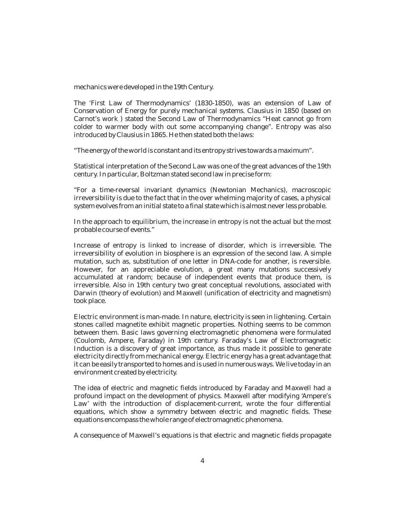mechanics were developed in the 19th Century.

The 'First Law of Thermodynamics' (1830-1850), was an extension of Law of Conservation of Energy for purely mechanical systems. Clausius in 1850 (based on Carnot's work ) stated the Second Law of Thermodynamics "Heat cannot go from colder to warmer body with out some accompanying change". Entropy was also introduced by Clausius in 1865. He then stated both the laws:

"The energy of the world is constant and its entropy strives towards a maximum".

Statistical interpretation of the Second Law was one of the great advances of the 19th century. In particular, Boltzman stated second law in precise form:

"For a time-reversal invariant dynamics (Newtonian Mechanics), macroscopic irreversibility is due to the fact that in the over whelming majority of cases, a physical system evolves from an initial state to a final state which is almost never less probable.

In the approach to equilibrium, the increase in entropy is not the actual but the most probable course of events."

Increase of entropy is linked to increase of disorder, which is irreversible. The irreversibility of evolution in biosphere is an expression of the second law. A simple mutation, such as, substitution of one letter in DNA-code for another, is reversible. However, for an appreciable evolution, a great many mutations successively accumulated at random; because of independent events that produce them, is irreversible. Also in 19th century two great conceptual revolutions, associated with Darwin (theory of evolution) and Maxwell (unification of electricity and magnetism) took place.

Electric environment is man-made. In nature, electricity is seen in lightening. Certain stones called magnetite exhibit magnetic properties. Nothing seems to be common between them. Basic laws governing electromagnetic phenomena were formulated (Coulomb, Ampere, Faraday) in 19th century. Faraday's Law of Electromagnetic Induction is a discovery of great importance, as thus made it possible to generate electricity directly from mechanical energy. Electric energy has a great advantage that it can be easily transported to homes and is used in numerous ways. We live today in an environment created by electricity.

The idea of electric and magnetic fields introduced by Faraday and Maxwell had a profound impact on the development of physics. Maxwell after modifying 'Ampere's Law' with the introduction of displacement-current, wrote the four differential equations, which show a symmetry between electric and magnetic fields. These equations encompass the whole range of electromagnetic phenomena.

A consequence of Maxwell's equations is that electric and magnetic fields propagate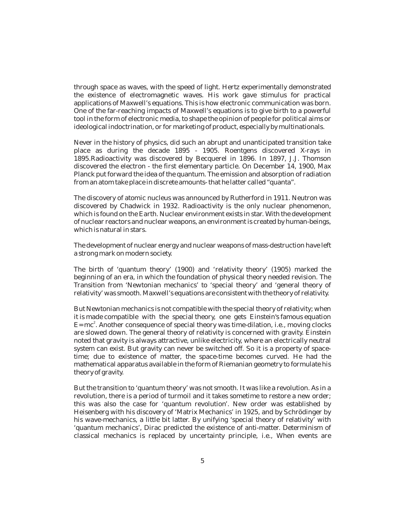through space as waves, with the speed of light. Hertz experimentally demonstrated the existence of electromagnetic waves. His work gave stimulus for practical applications of Maxwell's equations. This is how electronic communication was born. One of the far-reaching impacts of Maxwell's equations is to give birth to a powerful tool in the form of electronic media, to shape the opinion of people for political aims or ideological indoctrination, or for marketing of product, especially by multinationals.

Never in the history of physics, did such an abrupt and unanticipated transition take place as during the decade 1895 - 1905. Roentgens discovered X-rays in 1895.Radioactivity was discovered by Becquerel in 1896. In 1897, J.J. Thomson discovered the electron - the first elementary particle. On December 14, 1900, Max Planck put forward the idea of the quantum. The emission and absorption of radiation from an atom take place in discrete amounts- that he latter called "quanta".

The discovery of atomic nucleus was announced by Rutherford in 1911. Neutron was discovered by Chadwick in 1932. Radioactivity is the only nuclear phenomenon, which is found on the Earth. Nuclear environment exists in star. With the development of nuclear reactors and nuclear weapons, an environment is created by human-beings, which is natural in stars.

The development of nuclear energy and nuclear weapons of mass-destruction have left a strong mark on modern society.

The birth of 'quantum theory' (1900) and 'relativity theory' (1905) marked the beginning of an era, in which the foundation of physical theory needed revision. The Transition from 'Newtonian mechanics' to 'special theory' and 'general theory of relativity' was smooth. Maxwell's equations are consistent with the theory of relativity.

But Newtonian mechanics is not compatible with the special theory of relativity; when it is made compatible with the special theory, one gets Einstein's famous equation  $E=mc^2$ . Another consequence of special theory was time-dilation, i.e., moving clocks are slowed down. The general theory of relativity is concerned with gravity. Einstein noted that gravity is always attractive, unlike electricity, where an electrically neutral system can exist. But gravity can never be switched off. So it is a property of spacetime; due to existence of matter, the space-time becomes curved. He had the mathematical apparatus available in the form of Riemanian geometry to formulate his theory of gravity.

But the transition to 'quantum theory' was not smooth. It was like a revolution. As in a revolution, there is a period of turmoil and it takes sometime to restore a new order; this was also the case for 'quantum revolution'. New order was established by Heisenberg with his discovery of 'Matrix Mechanics' in 1925, and by Schrödinger by his wave-mechanics, a little bit latter. By unifying 'special theory of relativity' with 'quantum mechanics', Dirac predicted the existence of anti-matter. Determinism of classical mechanics is replaced by uncertainty principle, i.e., When events are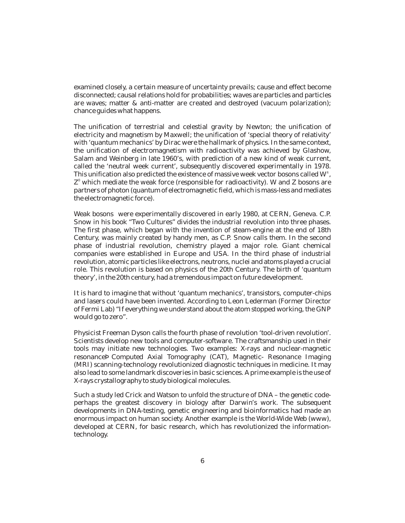examined closely, a certain measure of uncertainty prevails; cause and effect become disconnected; causal relations hold for probabilities; waves are particles and particles are waves; matter & anti-matter are created and destroyed (vacuum polarization); chance guides what happens.

The unification of terrestrial and celestial gravity by Newton; the unification of electricity and magnetism by Maxwell; the unification of 'special theory of relativity' with 'quantum mechanics' by Dirac were the hallmark of physics. In the same context, the unification of electromagnetism with radioactivity was achieved by Glashow, Salam and Weinberg in late 1960's, with prediction of a new kind of weak current, called the 'neutral week current', subsequently discovered experimentally in 1978. This unification also predicted the existence of massive week vector bosons called  $\mathrm{W}^\text{\texttt{+}}$  ,  $Z^{\scriptscriptstyle{0}}$  which mediate the weak force (responsible for radioactivity). W and Z bosons are partners of photon (quantum of electromagnetic field, which is mass-less and mediates the electromagnetic force).

Weak bosons were experimentally discovered in early 1980, at CERN, Geneva. C.P. Snow in his book "Two Cultures" divides the industrial revolution into three phases. The first phase, which began with the invention of steam-engine at the end of 18th Century, was mainly created by handy men, as C.P. Snow calls them. In the second phase of industrial revolution, chemistry played a major role. Giant chemical companies were established in Europe and USA. In the third phase of industrial revolution, atomic particles like electrons, neutrons, nuclei and atoms played a crucial role. This revolution is based on physics of the 20th Century. The birth of 'quantum theory', in the 20th century, had a tremendous impact on future development.

It is hard to imagine that without 'quantum mechanics', transistors, computer-chips and lasers could have been invented. According to Leon Lederman (Former Director of Fermi Lab) "If everything we understand about the atom stopped working, the GNP would go to zero".

Physicist Freeman Dyson calls the fourth phase of revolution 'tool-driven revolution'. Scientists develop new tools and computer-software. The craftsmanship used in their tools may initiate new technologies. Two examples: X-rays and nuclear-magnetic resonance Computed Axial Tomography (CAT), Magnetic- Resonance Imaging (MRI) scanning-technology revolutionized diagnostic techniques in medicine. It may also lead to some landmark discoveries in basic sciences. A prime example is the use of X-rays crystallography to study biological molecules.

Such a study led Crick and Watson to unfold the structure of DNA – the genetic codeperhaps the greatest discovery in biology after Darwin's work. The subsequent developments in DNA-testing, genetic engineering and bioinformatics had made an enormous impact on human society. Another example is the World-Wide Web (www), developed at CERN, for basic research, which has revolutionized the informationtechnology.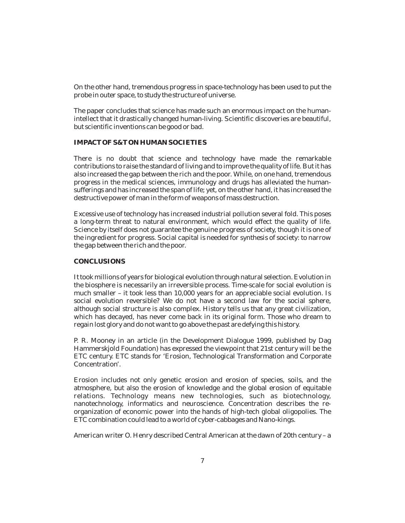On the other hand, tremendous progress in space-technology has been used to put the probe in outer space, to study the structure of universe.

The paper concludes that science has made such an enormous impact on the humanintellect that it drastically changed human-living. Scientific discoveries are beautiful, but scientific inventions can be good or bad.

#### **IMPACT OF S&T ON HUMAN SOCIETIES**

There is no doubt that science and technology have made the remarkable contributions to raise the standard of living and to improve the quality of life. But it has also increased the gap between the rich and the poor. While, on one hand, tremendous progress in the medical sciences, immunology and drugs has alleviated the humansufferings and has increased the span of life; yet, on the other hand, it has increased the destructive power of man in the form of weapons of mass destruction.

Excessive use of technology has increased industrial pollution several fold. This poses a long-term threat to natural environment, which would effect the quality of life. Science by itself does not guarantee the genuine progress of society, though it is one of the ingredient for progress. Social capital is needed for synthesis of society: to narrow the gap between the rich and the poor.

#### **CONCLUSIONS**

It took millions of years for biological evolution through natural selection. Evolution in the biosphere is necessarily an irreversible process. Time-scale for social evolution is much smaller – it took less than 10,000 years for an appreciable social evolution. Is social evolution reversible? We do not have a second law for the social sphere, although social structure is also complex. History tells us that any great civilization, which has decayed, has never come back in its original form. Those who dream to regain lost glory and do not want to go above the past are defying this history.

P. R. Mooney in an article (in the Development Dialogue 1999, published by Dag Hammerskjold Foundation) has expressed the viewpoint that 21st century will be the ETC century. ETC stands for 'Erosion, Technological Transformation and Corporate Concentration'.

Erosion includes not only genetic erosion and erosion of species, soils, and the atmosphere, but also the erosion of knowledge and the global erosion of equitable relations. Technology means new technologies, such as biotechnology, nanotechnology, informatics and neuroscience. Concentration describes the reorganization of economic power into the hands of high-tech global oligopolies. The ETC combination could lead to a world of cyber-cabbages and Nano-kings.

American writer O. Henry described Central American at the dawn of 20th century – a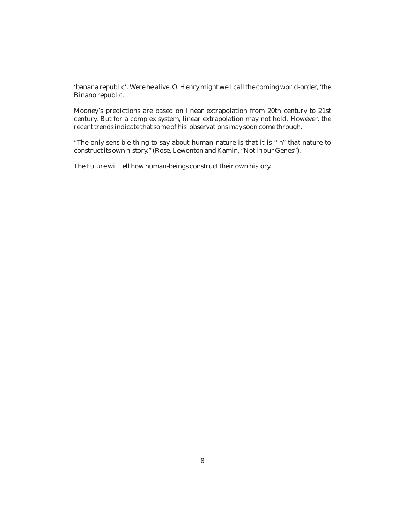'banana republic'. Were he alive, O. Henry might well call the coming world-order, 'the Binano republic.

Mooney's predictions are based on linear extrapolation from 20th century to 21st century. But for a complex system, linear extrapolation may not hold. However, the recent trends indicate that some of his observations may soon come through.

"The only sensible thing to say about human nature is that it is "in" that nature to construct its own history." (Rose, Lewonton and Kamin, "Not in our Genes").

The Future will tell how human-beings construct their own history.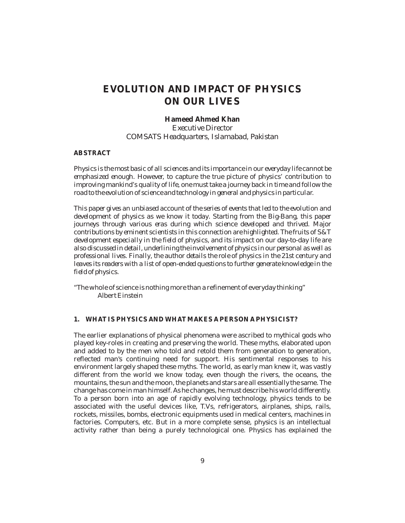## **EVOLUTION AND IMPACT OF PHYSICS ON OUR LIVES**

**Hameed Ahmed Khan** *Executive Director COMSATS Headquarters, Islamabad, Pakistan*

#### **ABSTRACT**

*Physics is the most basic of all sciences and its importance in our everyday life cannot be emphasized enough. However, to capture the true picture of physics' contribution to improving mankind's quality of life, one must take a journey back in time and follow the road to the evolution of science and technology in general and physics in particular.*

*This paper gives an unbiased account of the series of events that led to the evolution and development of physics as we know it today. Starting from the Big-Bang, this paper journeys through various eras during which science developed and thrived. Major contributions by eminent scientists in this connection are highlighted. The fruits of S&T development especially in the field of physics, and its impact on our day-to-day life are also discussed in detail, underlining the involvement of physics in our personal as well as professional lives. Finally, the author details the role of physics in the 21st century and leaves its readers with a list of open-ended questions to further generate knowledge in the field of physics.*

"The whole of science is nothing more than a refinement of everyday thinking" Albert Einstein

#### **1. WHAT IS PHYSICS AND WHAT MAKES A PERSON A PHYSICIST?**

The earlier explanations of physical phenomena were ascribed to mythical gods who played key-roles in creating and preserving the world. These myths, elaborated upon and added to by the men who told and retold them from generation to generation, reflected man's continuing need for support. His sentimental responses to his environment largely shaped these myths. The world, as early man knew it, was vastly different from the world we know today, even though the rivers, the oceans, the mountains, the sun and the moon, the planets and stars are all essentially the same. The change has come in man himself. As he changes, he must describe his world differently. To a person born into an age of rapidly evolving technology, physics tends to be associated with the useful devices like, T.Vs, refrigerators, airplanes, ships, rails, rockets, missiles, bombs, electronic equipments used in medical centers, machines in factories. Computers, etc. But in a more complete sense, physics is an intellectual activity rather than being a purely technological one. Physics has explained the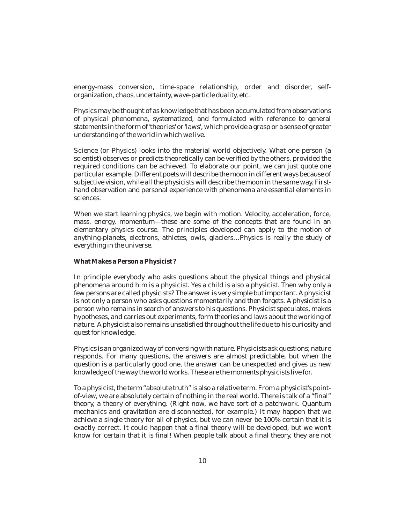energy-mass conversion, time-space relationship, order and disorder, selforganization, chaos, uncertainty, wave-particle duality, etc.

Physics may be thought of as knowledge that has been accumulated from observations of physical phenomena, systematized, and formulated with reference to general statements in the form of 'theories' or 'laws', which provide a grasp or a sense of greater understanding of the world in which we live.

Science (or Physics) looks into the material world objectively. What one person (a scientist) observes or predicts theoretically can be verified by the others, provided the required conditions can be achieved. To elaborate our point, we can just quote one particular example. Different poets will describe the moon in different ways because of subjective vision, while all the physicists will describe the moon in the same way. Firsthand observation and personal experience with phenomena are essential elements in sciences.

When we start learning physics, we begin with motion. Velocity, acceleration, force, mass, energy, momentum—these are some of the concepts that are found in an elementary physics course. The principles developed can apply to the motion of anything-planets, electrons, athletes, owls, glaciers…Physics is really the study of everything in the universe.

**What Makes a Person a Physicist ?**

In principle everybody who asks questions about the physical things and physical phenomena around him is a physicist. Yes a child is also a physicist. Then why only a few persons are called physicists? The answer is very simple but important. A physicist is not only a person who asks questions momentarily and then forgets. A physicist is a person who remains in search of answers to his questions. Physicist speculates, makes hypotheses, and carries out experiments, form theories and laws about the working of nature. A physicist also remains unsatisfied throughout the life due to his curiosity and quest for knowledge.

Physics is an organized way of conversing with nature. Physicists ask questions; nature responds. For many questions, the answers are almost predictable, but when the question is a particularly good one, the answer can be unexpected and gives us new knowledge of the way the world works. These are the moments physicists live for.

To a physicist, the term "absolute truth" is also a relative term. From a physicist's pointof-view, we are absolutely certain of nothing in the real world. There is talk of a "final" theory, a theory of everything. (Right now, we have sort of a patchwork. Quantum mechanics and gravitation are disconnected, for example.) It may happen that we achieve a single theory for all of physics, but we can never be 100% certain that it is exactly correct. It could happen that a final theory will be developed, but we won't know for certain that it is final! When people talk about a final theory, they are not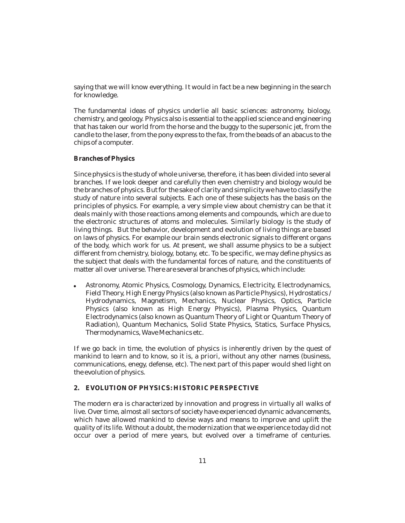saying that we will know everything. It would in fact be a new beginning in the search for knowledge.

The fundamental ideas of physics underlie all basic sciences: astronomy, biology, chemistry, and geology. Physics also is essential to the applied science and engineering that has taken our world from the horse and the buggy to the supersonic jet, from the candle to the laser, from the pony express to the fax, from the beads of an abacus to the chips of a computer.

#### **Branches of Physics**

Since physics is the study of whole universe, therefore, it has been divided into several branches. If we look deeper and carefully then even chemistry and biology would be the branches of physics. But for the sake of clarity and simplicity we have to classify the study of nature into several subjects. Each one of these subjects has the basis on the principles of physics. For example, a very simple view about chemistry can be that it deals mainly with those reactions among elements and compounds, which are due to the electronic structures of atoms and molecules. Similarly biology is the study of living things. But the behavior, development and evolution of living things are based on laws of physics. For example our brain sends electronic signals to different organs of the body, which work for us. At present, we shall assume physics to be a subject different from chemistry, biology, botany, etc. To be specific, we may define physics as the subject that deals with the fundamental forces of nature, and the constituents of matter all over universe. There are several branches of physics, which include:

Astronomy, Atomic Physics, Cosmology, Dynamics, Electricity, Electrodynamics, Field Theory, High Energy Physics (also known as Particle Physics), Hydrostatics / Hydrodynamics, Magnetism, Mechanics, Nuclear Physics, Optics, Particle Physics (also known as High Energy Physics), Plasma Physics, Quantum Electrodynamics (also known as Quantum Theory of Light or Quantum Theory of Radiation), Quantum Mechanics, Solid State Physics, Statics, Surface Physics, Thermodynamics, Wave Mechanics etc.  $\bullet$ 

If we go back in time, the evolution of physics is inherently driven by the quest of mankind to learn and to know, so it is, a priori, without any other names (business, communications, enegy, defense, etc). The next part of this paper would shed light on the evolution of physics.

#### **2. EVOLUTION OF PHYSICS: HISTORIC PERSPECTIVE**

The modern era is characterized by innovation and progress in virtually all walks of live. Over time, almost all sectors of society have experienced dynamic advancements, which have allowed mankind to devise ways and means to improve and uplift the quality of its life. Without a doubt, the modernization that we experience today did not occur over a period of mere years, but evolved over a timeframe of centuries.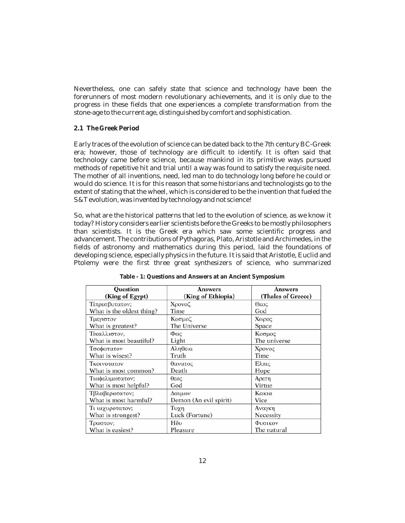Nevertheless, one can safely state that science and technology have been the forerunners of most modern revolutionary achievements, and it is only due to the progress in these fields that one experiences a complete transformation from the stone-age to the current age, distinguished by comfort and sophistication.

#### **2.1 The Greek Period**

Early traces of the evolution of science can be dated back to the 7th century BC-Greek era; however, those of technology are difficult to identify. It is often said that technology came before science, because mankind in its primitive ways pursued methods of repetitive hit and trial until a way was found to satisfy the requisite need. The mother of all inventions, need, led man to do technology long before he could or would do science. It is for this reason that some historians and technologists go to the extent of stating that the wheel, which is considered to be the invention that fueled the S&T evolution, was invented by technology and not science!

So, what are the historical patterns that led to the evolution of science, as we know it today? History considers earlier scientists before the Greeks to be mostly philosophers than scientists. It is the Greek era which saw some scientific progress and advancement. The contributions of Pythagoras, Plato, Aristotle and Archimedes, in the fields of astronomy and mathematics during this period, laid the foundations of developing science, especially physics in the future. It is said that Aristotle, Euclid and Ptolemy were the first three great synthesizers of science, who summarized

| <b>Ouestion</b>                       | <b>Answers</b>                                | <b>Answers</b>     |  |  |
|---------------------------------------|-----------------------------------------------|--------------------|--|--|
| (King of Egypt)                       | (King of Ethiopia)                            | (Thales of Greece) |  |  |
| Τίπρεσβυτατον;                        | Χρονοζ                                        | Θεος               |  |  |
| What is the oldest thing?             | Time                                          | God                |  |  |
| Τμεγιστον                             | Κοσμοζ                                        | Χωρος              |  |  |
| What is greatest?                     | The Universe                                  | Space              |  |  |
| Τίκαλλιστον,                          | $\Phi\omega$ c                                | Κοσμος             |  |  |
| What is most beautiful?               | Light                                         | The universe       |  |  |
| Τσοφωτατον                            | Αληθεια                                       | Χρονος             |  |  |
| What is wisest?                       | Truth                                         | Time               |  |  |
| Τκοινοτατον                           | θανατος                                       | Ελπις              |  |  |
| What is most common?                  | Death                                         | Hope               |  |  |
| Τιωφελιμωτατον;                       | 2030                                          | Αρετη              |  |  |
| What is most helpful?                 | God                                           | Virtue             |  |  |
| Τβλαβερωτατον;                        | Δαιμων                                        | Κακια              |  |  |
| What is most harmful?                 | Demon (An evil spirit)                        | Vice               |  |  |
| Τι ιαχυροτατον;<br>What is strongest? | Τυχη<br>Αναγκη<br>Luck (Fortune)<br>Necessity |                    |  |  |
| Τραστον;                              | Hδυ                                           | Φυσικον            |  |  |
| What is easiest?                      | Pleasure                                      | The natural        |  |  |

**Table - 1: Questions and Answers at an Ancient Symposium**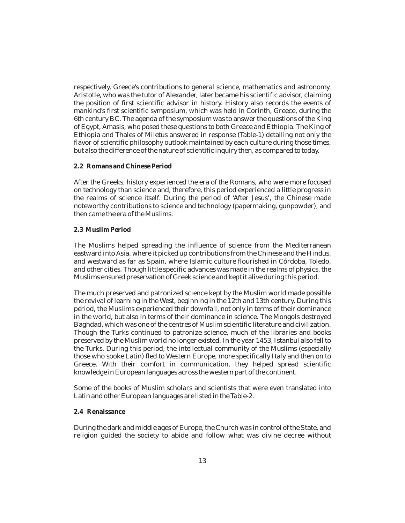respectively, Greece's contributions to general science, mathematics and astronomy. Aristotle, who was the tutor of Alexander, later became his scientific advisor, claiming the position of first scientific advisor in history. History also records the events of mankind's first scientific symposium, which was held in Corinth, Greece, during the 6th century BC. The agenda of the symposium was to answer the questions of the King of Egypt, Amasis, who posed these questions to both Greece and Ethiopia. The King of Ethiopia and Thales of Miletus answered in response (Table-1) detailing not only the flavor of scientific philosophy outlook maintained by each culture during those times, but also the difference of the nature of scientific inquiry then, as compared to today.

#### **2.2 Romans and Chinese Period**

After the Greeks, history experienced the era of the Romans, who were more focused on technology than science and, therefore, this period experienced a little progress in the realms of science itself. During the period of 'After Jesus', the Chinese made noteworthy contributions to science and technology (papermaking, gunpowder), and then came the era of the Muslims.

#### **2.3 Muslim Period**

The Muslims helped spreading the influence of science from the Mediterranean eastward into Asia, where it picked up contributions from the Chinese and the Hindus, and westward as far as Spain, where Islamic culture flourished in Córdoba, Toledo, and other cities. Though little specific advances was made in the realms of physics, the Muslims ensured preservation of Greek science and kept it alive during this period.

The much preserved and patronized science kept by the Muslim world made possible the revival of learning in the West, beginning in the 12th and 13th century. During this period, the Muslims experienced their downfall, not only in terms of their dominance in the world, but also in terms of their dominance in science. The Mongols destroyed Baghdad, which was one of the centres of Muslim scientific literature and civilization. Though the Turks continued to patronize science, much of the libraries and books preserved by the Muslim world no longer existed. In the year 1453, Istanbul also fell to the Turks. During this period, the intellectual community of the Muslims (especially those who spoke Latin) fled to Western Europe, more specifically Italy and then on to Greece. With their comfort in communication, they helped spread scientific knowledge in European languages across the western part of the continent.

Some of the books of Muslim scholars and scientists that were even translated into Latin and other European languages are listed in the Table-2.

#### **2.4 Renaissance**

During the dark and middle ages of Europe, the Church was in control of the State, and religion guided the society to abide and follow what was divine decree without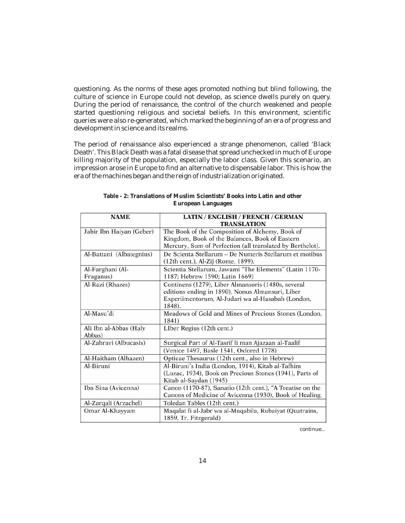questioning. As the norms of these ages promoted nothing but blind following, the culture of science in Europe could not develop, as science dwells purely on query. During the period of renaissance, the control of the church weakened and people started questioning religious and societal beliefs. In this environment, scientific queries were also re-generated, which marked the beginning of an era of progress and development in science and its realms.

The period of renaissance also experienced a strange phenomenon, called 'Black Death'. This Black Death was a fatal disease that spread unchecked in much of Europe killing majority of the population, especially the labor class. Given this scenario, an impression arose in Europe to find an alternative to dispensable labor. This is how the era of the machines began and the reign of industrialization originated.

| <b>NAME</b>                      | LATIN / ENGLISH / FRENCH / GERMAN<br><b>TRANSLATION</b>                                                                                                               |
|----------------------------------|-----------------------------------------------------------------------------------------------------------------------------------------------------------------------|
| Jabir Ibn Haiyan (Geber)         | The Book of the Composition of Alchemy, Book of<br>Kingdom, Book of the Balances, Book of Eastern<br>Mercury, Sum of Perfection (all translated by Berthelot).        |
| Al-Battani (Albategnius)         | De Scienta Stellarum - De Numeris Stellarum et motibus<br>(12th cent.), Al-Zij (Rome, 1899).                                                                          |
| Al-Farghani (Al-<br>Fraganus)    | Scientia Stellarum, Jawami "The Elements" (Latin 1170-<br>1187; Hebrew 1590; Latin 1669)                                                                              |
| Al-Razi (Rhazes)                 | Continens (1279), Liber Almansoris (1480s, several<br>editions ending in 1890), Nonus Almansuri, Liber<br>Experiimentorum, Al-Judari wa al-Hasabah (London,<br>1848). |
| Al-Masu'di                       | Meadows of Gold and Mines of Precious Stones (London,<br>1841)                                                                                                        |
| Ali Ibn al-Abbas (Haly<br>Abbas) | LIber Regius (12th cent.)                                                                                                                                             |
| Al-Zahravi (Albucasis)           | Surgical Part of Al-Tasrif li man Ajazaan al-Taalif                                                                                                                   |
|                                  | (Venice 1497, Basle 1541, Oxfored 1778)                                                                                                                               |
| Al-Haitham (Alhazen)             | Opticae Thesaurus (12th cent., also in Hebrew)                                                                                                                        |
| Al-Biruni                        | Al-Biruni's India (London, 1914), Kitab al-Tafhim                                                                                                                     |
|                                  | (Luzac, 1934), Book on Precious Stones (1941), Parts of<br>Kitab al-Saydan (1945)                                                                                     |
| Ibn Sina (Avicenna)              | Canon (1170-87), Sanatio (12th cent.), "A Treatise on the<br>Canons of Medicine of Avicenna (1930), Book of Healing.                                                  |
| Al-Zarqali (Arzachel)            | Toledan Tables (12th cent.)                                                                                                                                           |
| Omar Al-Khayyam                  | Maqalat fi al-Jabr wa al-Muqabila, Rubaiyat (Quatrains,<br>1859, Tr. Fitzgerald)                                                                                      |

| Table - 2: Translations of Muslim Scientists' Books into Latin and other |                    |  |  |  |
|--------------------------------------------------------------------------|--------------------|--|--|--|
|                                                                          | European Languages |  |  |  |

*continue...*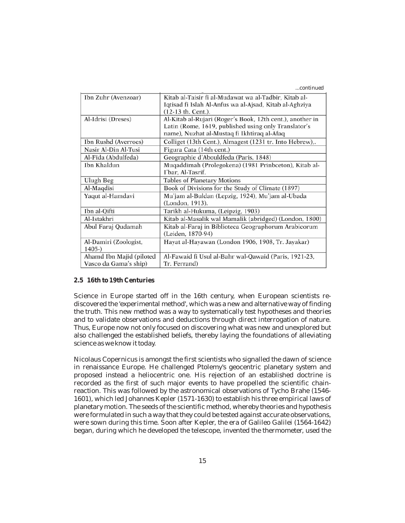*...continued*

| Kitab al-Taisir fi al-Mudawat wa al-Tadbir, Kitab al-     |  |  |  |
|-----------------------------------------------------------|--|--|--|
| Iqtisad fi Islah Al-Anfus wa al-Ajsad, Kitab al-Aghziya   |  |  |  |
| (12-13 th. Cent.).                                        |  |  |  |
| Al-Kitab al-Rujari (Roger's Book, 12th cent.), another in |  |  |  |
| Latin (Rome, 1619, published using only Translator's      |  |  |  |
| name), Nuzhat al-Mustaq fi Ikhtiraq al-Afaq               |  |  |  |
| Colliget (13th Cent.), Almagest (1231 tr. Into Hebrew),.  |  |  |  |
| Figura Cata (14th cent.)                                  |  |  |  |
| Geographie d'Abouldfeda (Paris, 1848)                     |  |  |  |
| Muqaddimah (Prolegokena) (1981 Prinbceton), Kitab al-     |  |  |  |
| I'bar, Al-Tasrif.                                         |  |  |  |
| <b>Tables of Planetary Motions</b>                        |  |  |  |
| Book of Divisions for the Study of Climate (1897)         |  |  |  |
| Mu'jam al-Buldan (Lepzig, 1924), Mu'jam al-Ubada          |  |  |  |
| (London, 1913).                                           |  |  |  |
| Tarikh al-Hukuma, (Leipzig, 1903)                         |  |  |  |
| Kitab al-Masalik wal Mamalik (abridged) (London, 1800)    |  |  |  |
| Kitab al-Faraj in Biblioteca Geographorum Arabicorum      |  |  |  |
| (Leiden, 1870-94)                                         |  |  |  |
| Hayat al-Hayawan (London 1906, 1908, Tr. Jayakar)         |  |  |  |
|                                                           |  |  |  |
| Al-Fawaid fi Usul al-Bahr wal-Qawaid (Paris, 1921-23,     |  |  |  |
| Tr. Ferrand)                                              |  |  |  |
|                                                           |  |  |  |

#### **2.5 16th to 19th Centuries**

Science in Europe started off in the 16th century, when European scientists rediscovered the 'experimental method', which was a new and alternative way of finding the truth. This new method was a way to systematically test hypotheses and theories and to validate observations and deductions through direct interrogation of nature. Thus, Europe now not only focused on discovering what was new and unexplored but also challenged the established beliefs, thereby laying the foundations of alleviating science as we know it today.

Nicolaus Copernicus is amongst the first scientists who signalled the dawn of science in renaissance Europe. He challenged Ptolemy's geocentric planetary system and proposed instead a heliocentric one. His rejection of an established doctrine is recorded as the first of such major events to have propelled the scientific chainreaction. This was followed by the astronomical observations of Tycho Brahe (1546- 1601), which led Johannes Kepler (1571-1630) to establish his three empirical laws of planetary motion. The seeds of the scientific method, whereby theories and hypothesis were formulated in such a way that they could be tested against accurate observations, were sown during this time. Soon after Kepler, the era of Galileo Galilei (1564-1642) began, during which he developed the telescope, invented the thermometer, used the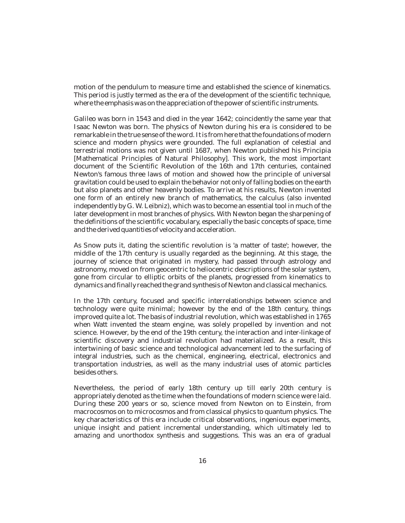motion of the pendulum to measure time and established the science of kinematics. This period is justly termed as the era of the development of the scientific technique, where the emphasis was on the appreciation of the power of scientific instruments.

Galileo was born in 1543 and died in the year 1642; coincidently the same year that Isaac Newton was born. The physics of Newton during his era is considered to be remarkable in the true sense of the word. It is from here that the foundations of modern science and modern physics were grounded. The full explanation of celestial and terrestrial motions was not given until 1687, when Newton published his Principia [Mathematical Principles of Natural Philosophy]. This work, the most important document of the Scientific Revolution of the 16th and 17th centuries, contained Newton's famous three laws of motion and showed how the principle of universal gravitation could be used to explain the behavior not only of falling bodies on the earth but also planets and other heavenly bodies. To arrive at his results, Newton invented one form of an entirely new branch of mathematics, the calculus (also invented independently by G. W. Leibniz), which was to become an essential tool in much of the later development in most branches of physics. With Newton began the sharpening of the definitions of the scientific vocabulary, especially the basic concepts of space, time and the derived quantities of velocity and acceleration.

As Snow puts it, dating the scientific revolution is 'a matter of taste'; however, the middle of the 17th century is usually regarded as the beginning. At this stage, the journey of science that originated in mystery, had passed through astrology and astronomy, moved on from geocentric to heliocentric descriptions of the solar system, gone from circular to elliptic orbits of the planets, progressed from kinematics to dynamics and finally reached the grand synthesis of Newton and classical mechanics.

In the 17th century, focused and specific interrelationships between science and technology were quite minimal; however by the end of the 18th century, things improved quite a lot. The basis of industrial revolution, which was established in 1765 when Watt invented the steam engine, was solely propelled by invention and not science. However, by the end of the 19th century, the interaction and inter-linkage of scientific discovery and industrial revolution had materialized. As a result, this intertwining of basic science and technological advancement led to the surfacing of integral industries, such as the chemical, engineering, electrical, electronics and transportation industries, as well as the many industrial uses of atomic particles besides others.

Nevertheless, the period of early 18th century up till early 20th century is appropriately denoted as the time when the foundations of modern science were laid. During these 200 years or so, science moved from Newton on to Einstein, from macrocosmos on to microcosmos and from classical physics to quantum physics. The key characteristics of this era include critical observations, ingenious experiments, unique insight and patient incremental understanding, which ultimately led to amazing and unorthodox synthesis and suggestions. This was an era of gradual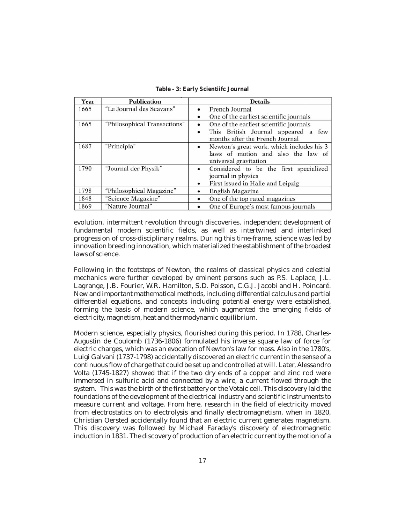| Year | <b>Publication</b>           | <b>Details</b>                                                                                                              |  |  |
|------|------------------------------|-----------------------------------------------------------------------------------------------------------------------------|--|--|
| 1665 | "Le Journal des Scavans"     | French Journal<br>٠<br>One of the earliest scientific journals<br>$\bullet$                                                 |  |  |
| 1665 | "Philosophical Transactions" | One of the earliest scientific journals<br>٠<br>This British Journal appeared a few<br>٠<br>months after the French Journal |  |  |
| 1687 | "Principia"                  | Newton's great work, which includes his 3<br>٠<br>laws of motion and also the law of<br>universal gravitation               |  |  |
| 1790 | "Journal der Physik"         | Considered to be the first specialized<br>٠<br>journal in physics<br>First issued in Halle and Leipzig<br>٠                 |  |  |
| 1798 | "Philosophical Magazine"     | English Magazine<br>٠                                                                                                       |  |  |
| 1848 | "Science Magazine"           | One of the top rated magazines<br>٠                                                                                         |  |  |
| 1869 | "Nature Journal"             | One of Europe's most famous journals<br>٠                                                                                   |  |  |

**Table - 3: Early Scientiifc Journal**

evolution, intermittent revolution through discoveries, independent development of fundamental modern scientific fields, as well as intertwined and interlinked progression of cross-disciplinary realms. During this time-frame, science was led by innovation breeding innovation, which materialized the establishment of the broadest laws of science.

Following in the footsteps of Newton, the realms of classical physics and celestial mechanics were further developed by eminent persons such as P.S. Laplace, J.L. Lagrange, J.B. Fourier, W.R. Hamilton, S.D. Poisson, C.G.J. Jacobi and H. Poincaré. New and important mathematical methods, including differential calculus and partial differential equations, and concepts including potential energy were established, forming the basis of modern science, which augmented the emerging fields of electricity, magnetism, heat and thermodynamic equilibrium.

Modern science, especially physics, flourished during this period. In 1788, Charles-Augustin de Coulomb (1736-1806) formulated his inverse square law of force for electric charges, which was an evocation of Newton's law for mass. Also in the 1780's, Luigi Galvani (1737-1798) accidentally discovered an electric current in the sense of a continuous flow of charge that could be set up and controlled at will. Later, Alessandro Volta (1745-1827) showed that if the two dry ends of a copper and zinc rod were immersed in sulfuric acid and connected by a wire, a current flowed through the system. This was the birth of the first battery or the Votaic cell. This discovery laid the foundations of the development of the electrical industry and scientific instruments to measure current and voltage. From here, research in the field of electricity moved from electrostatics on to electrolysis and finally electromagnetism, when in 1820, Christian Oersted accidentally found that an electric current generates magnetism. This discovery was followed by Michael Faraday's discovery of electromagnetic induction in 1831. The discovery of production of an electric current by the motion of a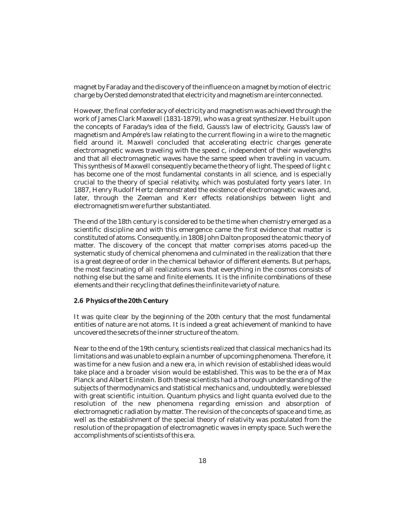magnet by Faraday and the discovery of the influence on a magnet by motion of electric charge by Oersted demonstrated that electricity and magnetism are interconnected.

However, the final confederacy of electricity and magnetism was achieved through the work of James Clark Maxwell (1831-1879), who was a great synthesizer. He built upon the concepts of Faraday's idea of the field, Gauss's law of electricity, Gauss's law of magnetism and Ampére's law relating to the current flowing in a wire to the magnetic field around it. Maxwell concluded that accelerating electric charges generate electromagnetic waves traveling with the speed c, independent of their wavelengths and that all electromagnetic waves have the same speed when traveling in vacuum. This synthesis of Maxwell consequently became the theory of light. The speed of light c has become one of the most fundamental constants in all science, and is especially crucial to the theory of special relativity, which was postulated forty years later. In 1887, Henry Rudolf Hertz demonstrated the existence of electromagnetic waves and, later, through the Zeeman and Kerr effects relationships between light and electromagnetism were further substantiated.

The end of the 18th century is considered to be the time when chemistry emerged as a scientific discipline and with this emergence came the first evidence that matter is constituted of atoms. Consequently, in 1808 John Dalton proposed the atomic theory of matter. The discovery of the concept that matter comprises atoms paced-up the systematic study of chemical phenomena and culminated in the realization that there is a great degree of order in the chemical behavior of different elements. But perhaps, the most fascinating of all realizations was that everything in the cosmos consists of nothing else but the same and finite elements. It is the infinite combinations of these elements and their recycling that defines the infinite variety of nature.

#### **2.6 Physics of the 20th Century**

It was quite clear by the beginning of the 20th century that the most fundamental entities of nature are not atoms. It is indeed a great achievement of mankind to have uncovered the secrets of the inner structure of the atom.

Near to the end of the 19th century, scientists realized that classical mechanics had its limitations and was unable to explain a number of upcoming phenomena. Therefore, it was time for a new fusion and a new era, in which revision of established ideas would take place and a broader vision would be established. This was to be the era of Max Planck and Albert Einstein. Both these scientists had a thorough understanding of the subjects of thermodynamics and statistical mechanics and, undoubtedly, were blessed with great scientific intuition. Quantum physics and light quanta evolved due to the resolution of the new phenomena regarding emission and absorption of electromagnetic radiation by matter. The revision of the concepts of space and time, as well as the establishment of the special theory of relativity was postulated from the resolution of the propagation of electromagnetic waves in empty space. Such were the accomplishments of scientists of this era.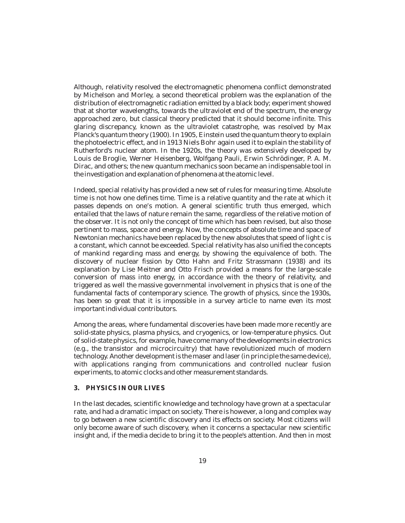Although, relativity resolved the electromagnetic phenomena conflict demonstrated by Michelson and Morley, a second theoretical problem was the explanation of the distribution of electromagnetic radiation emitted by a black body; experiment showed that at shorter wavelengths, towards the ultraviolet end of the spectrum, the energy approached zero, but classical theory predicted that it should become infinite. This glaring discrepancy, known as the ultraviolet catastrophe, was resolved by Max Planck's quantum theory (1900). In 1905, Einstein used the quantum theory to explain the photoelectric effect, and in 1913 Niels Bohr again used it to explain the stability of Rutherford's nuclear atom. In the 1920s, the theory was extensively developed by Louis de Broglie, Werner Heisenberg, Wolfgang Pauli, Erwin Schrödinger, P. A. M. Dirac, and others; the new quantum mechanics soon became an indispensable tool in the investigation and explanation of phenomena at the atomic level.

Indeed, special relativity has provided a new set of rules for measuring time. Absolute time is not how one defines time. Time is a relative quantity and the rate at which it passes depends on one's motion. A general scientific truth thus emerged, which entailed that the laws of nature remain the same, regardless of the relative motion of the observer. It is not only the concept of time which has been revised, but also those pertinent to mass, space and energy. Now, the concepts of absolute time and space of Newtonian mechanics have been replaced by the new absolutes that speed of light c is a constant, which cannot be exceeded. Special relativity has also unified the concepts of mankind regarding mass and energy, by showing the equivalence of both. The discovery of nuclear fission by Otto Hahn and Fritz Strassmann (1938) and its explanation by Lise Meitner and Otto Frisch provided a means for the large-scale conversion of mass into energy, in accordance with the theory of relativity, and triggered as well the massive governmental involvement in physics that is one of the fundamental facts of contemporary science. The growth of physics, since the 1930s, has been so great that it is impossible in a survey article to name even its most important individual contributors.

Among the areas, where fundamental discoveries have been made more recently are solid-state physics, plasma physics, and cryogenics, or low-temperature physics. Out of solid-state physics, for example, have come many of the developments in electronics (e.g., the transistor and microcircuitry) that have revolutionized much of modern technology. Another development is the maser and laser (in principle the same device), with applications ranging from communications and controlled nuclear fusion experiments, to atomic clocks and other measurement standards.

#### **3. PHYSICS IN OUR LIVES**

In the last decades, scientific knowledge and technology have grown at a spectacular rate, and had a dramatic impact on society. There is however, a long and complex way to go between a new scientific discovery and its effects on society. Most citizens will only become aware of such discovery, when it concerns a spectacular new scientific insight and, if the media decide to bring it to the people's attention. And then in most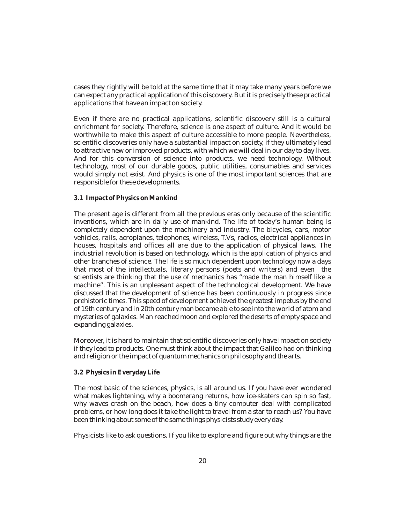cases they rightly will be told at the same time that it may take many years before we can expect any practical application of this discovery. But it is precisely these practical applications that have an impact on society.

Even if there are no practical applications, scientific discovery still is a cultural enrichment for society. Therefore, science is one aspect of culture. And it would be worthwhile to make this aspect of culture accessible to more people. Nevertheless, scientific discoveries only have a substantial impact on society, if they ultimately lead to attractive new or improved products, with which we will deal in our day to day lives. And for this conversion of science into products, we need technology. Without technology, most of our durable goods, public utilities, consumables and services would simply not exist. And physics is one of the most important sciences that are responsible for these developments.

#### **3.1 Impact of Physics on Mankind**

The present age is different from all the previous eras only because of the scientific inventions, which are in daily use of mankind. The life of today's human being is completely dependent upon the machinery and industry. The bicycles, cars, motor vehicles, rails, aeroplanes, telephones, wireless, T.Vs, radios, electrical appliances in houses, hospitals and offices all are due to the application of physical laws. The industrial revolution is based on technology, which is the application of physics and other branches of science. The life is so much dependent upon technology now a days that most of the intellectuals, literary persons (poets and writers) and even the scientists are thinking that the use of mechanics has "made the man himself like a machine". This is an unpleasant aspect of the technological development. We have discussed that the development of science has been continuously in progress since prehistoric times. This speed of development achieved the greatest impetus by the end of 19th century and in 20th century man became able to see into the world of atom and mysteries of galaxies. Man reached moon and explored the deserts of empty space and expanding galaxies.

Moreover, it is hard to maintain that scientific discoveries only have impact on society if they lead to products. One must think about the impact that Galileo had on thinking and religion or the impact of quantum mechanics on philosophy and the arts.

#### **3.2 Physics in Everyday Life**

The most basic of the sciences, physics, is all around us. If you have ever wondered what makes lightening, why a boomerang returns, how ice-skaters can spin so fast, why waves crash on the beach, how does a tiny computer deal with complicated problems, or how long does it take the light to travel from a star to reach us? You have been thinking about some of the same things physicists study every day.

Physicists like to ask questions. If you like to explore and figure out why things are the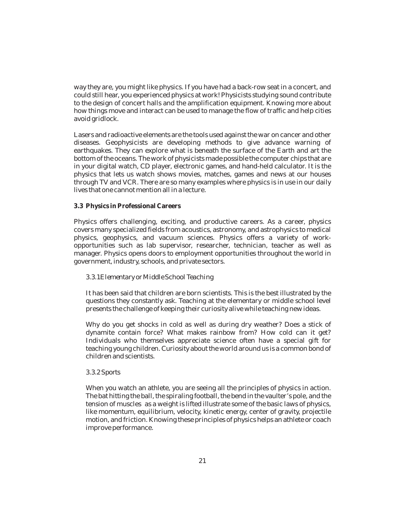way they are, you might like physics. If you have had a back-row seat in a concert, and could still hear, you experienced physics at work! Physicists studying sound contribute to the design of concert halls and the amplification equipment. Knowing more about how things move and interact can be used to manage the flow of traffic and help cities avoid gridlock.

Lasers and radioactive elements are the tools used against the war on cancer and other diseases. Geophysicists are developing methods to give advance warning of earthquakes. They can explore what is beneath the surface of the Earth and art the bottom of the oceans. The work of physicists made possible the computer chips that are in your digital watch, CD player, electronic games, and hand-held calculator. It is the physics that lets us watch shows movies, matches, games and news at our houses through TV and VCR. There are so many examples where physics is in use in our daily lives that one cannot mention all in a lecture.

#### **3.3 Physics in Professional Careers**

Physics offers challenging, exciting, and productive careers. As a career, physics covers many specialized fields from acoustics, astronomy, and astrophysics to medical physics, geophysics, and vacuum sciences. Physics offers a variety of workopportunities such as lab supervisor, researcher, technician, teacher as well as manager. Physics opens doors to employment opportunities throughout the world in government, industry, schools, and private sectors.

#### *3.3.1Elementary or Middle School Teaching*

It has been said that children are born scientists. This is the best illustrated by the questions they constantly ask. Teaching at the elementary or middle school level presents the challenge of keeping their curiosity alive while teaching new ideas.

Why do you get shocks in cold as well as during dry weather? Does a stick of dynamite contain force? What makes rainbow from? How cold can it get? Individuals who themselves appreciate science often have a special gift for teaching young children. Curiosity about the world around us is a common bond of children and scientists.

#### *3.3.2 Sports*

When you watch an athlete, you are seeing all the principles of physics in action. The bat hitting the ball, the spiraling football, the bend in the vaulter's pole, and the tension of muscles as a weight is lifted illustrate some of the basic laws of physics, like momentum, equilibrium, velocity, kinetic energy, center of gravity, projectile motion, and friction. Knowing these principles of physics helps an athlete or coach improve performance.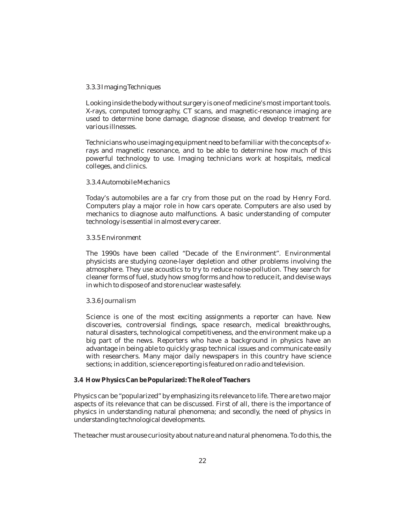#### *3.3.3 Imaging Techniques*

Looking inside the body without surgery is one of medicine's most important tools. X-rays, computed tomography, CT scans, and magnetic-resonance imaging are used to determine bone damage, diagnose disease, and develop treatment for various illnesses.

Technicians who use imaging equipment need to be familiar with the concepts of xrays and magnetic resonance, and to be able to determine how much of this powerful technology to use. Imaging technicians work at hospitals, medical colleges, and clinics.

#### *3.3.4 Automobile Mechanics*

Today's automobiles are a far cry from those put on the road by Henry Ford. Computers play a major role in how cars operate. Computers are also used by mechanics to diagnose auto malfunctions. A basic understanding of computer technology is essential in almost every career.

#### *3.3.5 Environment*

The 1990s have been called "Decade of the Environment". Environmental physicists are studying ozone-layer depletion and other problems involving the atmosphere. They use acoustics to try to reduce noise-pollution. They search for cleaner forms of fuel, study how smog forms and how to reduce it, and devise ways in which to dispose of and store nuclear waste safely.

#### *3.3.6 Journalism*

Science is one of the most exciting assignments a reporter can have. New discoveries, controversial findings, space research, medical breakthroughs, natural disasters, technological competitiveness, and the environment make up a big part of the news. Reporters who have a background in physics have an advantage in being able to quickly grasp technical issues and communicate easily with researchers. Many major daily newspapers in this country have science sections; in addition, science reporting is featured on radio and television.

#### **3.4 How Physics Can be Popularized: The Role of Teachers**

Physics can be "popularized" by emphasizing its relevance to life. There are two major aspects of its relevance that can be discussed. First of all, there is the importance of physics in understanding natural phenomena; and secondly, the need of physics in understanding technological developments.

The teacher must arouse curiosity about nature and natural phenomena. To do this, the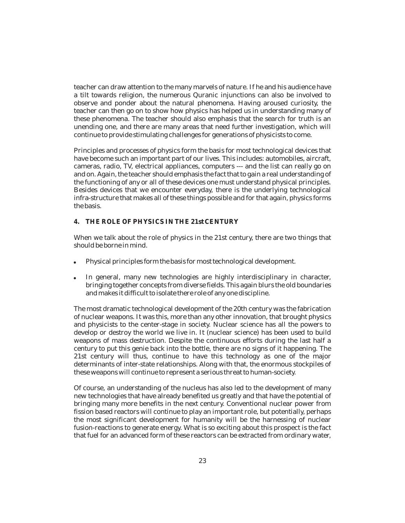teacher can draw attention to the many marvels of nature. If he and his audience have a tilt towards religion, the numerous Quranic injunctions can also be involved to observe and ponder about the natural phenomena. Having aroused curiosity, the teacher can then go on to show how physics has helped us in understanding many of these phenomena. The teacher should also emphasis that the search for truth is an unending one, and there are many areas that need further investigation, which will continue to provide stimulating challenges for generations of physicists to come.

Principles and processes of physics form the basis for most technological devices that have become such an important part of our lives. This includes: automobiles, aircraft, cameras, radio, TV, electrical appliances, computers --- and the list can really go on and on. Again, the teacher should emphasis the fact that to gain a real understanding of the functioning of any or all of these devices one must understand physical principles. Besides devices that we encounter everyday, there is the underlying technological infra-structure that makes all of these things possible and for that again, physics forms the basis.

#### **4. THE ROLE OF PHYSICS IN THE 21st CENTURY**

When we talk about the role of physics in the 21st century, there are two things that should be borne in mind.

- Physical principles form the basis for most technological development.  $\bullet$
- In general, many new technologies are highly interdisciplinary in character, bringing together concepts from diverse fields. This again blurs the old boundaries and makes it difficult to isolate there role of any one discipline.  $\bullet$

The most dramatic technological development of the 20th century was the fabrication of nuclear weapons. It was this, more than any other innovation, that brought physics and physicists to the center-stage in society. Nuclear science has all the powers to develop or destroy the world we live in. It (nuclear science) has been used to build weapons of mass destruction. Despite the continuous efforts during the last half a century to put this genie back into the bottle, there are no signs of it happening. The 21st century will thus, continue to have this technology as one of the major determinants of inter-state relationships. Along with that, the enormous stockpiles of these weapons will continue to represent a serious threat to human-society.

Of course, an understanding of the nucleus has also led to the development of many new technologies that have already benefited us greatly and that have the potential of bringing many more benefits in the next century. Conventional nuclear power from fission based reactors will continue to play an important role, but potentially, perhaps the most significant development for humanity will be the harnessing of nuclear fusion-reactions to generate energy. What is so exciting about this prospect is the fact that fuel for an advanced form of these reactors can be extracted from ordinary water,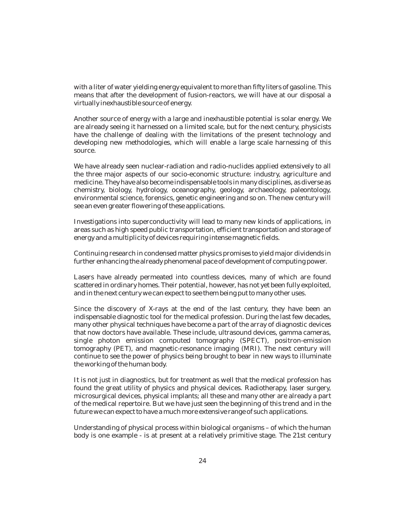with a liter of water yielding energy equivalent to more than fifty liters of gasoline. This means that after the development of fusion-reactors, we will have at our disposal a virtually inexhaustible source of energy.

Another source of energy with a large and inexhaustible potential is solar energy. We are already seeing it harnessed on a limited scale, but for the next century, physicists have the challenge of dealing with the limitations of the present technology and developing new methodologies, which will enable a large scale harnessing of this source.

We have already seen nuclear-radiation and radio-nuclides applied extensively to all the three major aspects of our socio-economic structure: industry, agriculture and medicine. They have also become indispensable tools in many disciplines, as diverse as chemistry, biology, hydrology, oceanography, geology, archaeology, paleontology, environmental science, forensics, genetic engineering and so on. The new century will see an even greater flowering of these applications.

Investigations into superconductivity will lead to many new kinds of applications, in areas such as high speed public transportation, efficient transportation and storage of energy and a multiplicity of devices requiring intense magnetic fields.

Continuing research in condensed matter physics promises to yield major dividends in further enhancing the already phenomenal pace of development of computing power.

Lasers have already permeated into countless devices, many of which are found scattered in ordinary homes. Their potential, however, has not yet been fully exploited, and in the next century we can expect to see them being put to many other uses.

Since the discovery of X-rays at the end of the last century, they have been an indispensable diagnostic tool for the medical profession. During the last few decades, many other physical techniques have become a part of the array of diagnostic devices that now doctors have available. These include, ultrasound devices, gamma cameras, single photon emission computed tomography (SPECT), positron-emission tomography (PET), and magnetic-resonance imaging (MRI). The next century will continue to see the power of physics being brought to bear in new ways to illuminate the working of the human body.

It is not just in diagnostics, but for treatment as well that the medical profession has found the great utility of physics and physical devices. Radiotherapy, laser surgery, microsurgical devices, physical implants; all these and many other are already a part of the medical repertoire. But we have just seen the beginning of this trend and in the future we can expect to have a much more extensive range of such applications.

Understanding of physical process within biological organisms – of which the human body is one example - is at present at a relatively primitive stage. The 21st century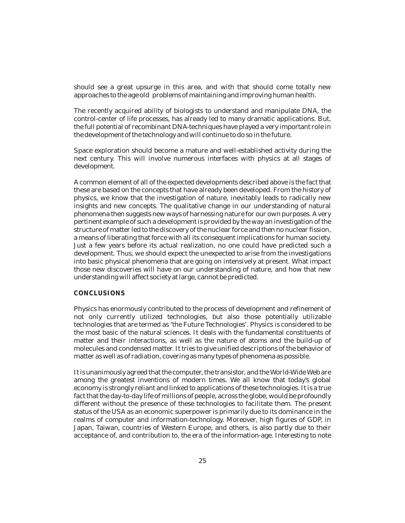should see a great upsurge in this area, and with that should come totally new approaches to the age old problems of maintaining and improving human health.

The recently acquired ability of biologists to understand and manipulate DNA, the control-center of life processes, has already led to many dramatic applications. But, the full potential of recombinant DNA-techniques have played a very important role in the development of the technology and will continue to do so in the future.

Space exploration should become a mature and well-established activity during the next century. This will involve numerous interfaces with physics at all stages of development.

A common element of all of the expected developments described above is the fact that these are based on the concepts that have already been developed. From the history of physics, we know that the investigation of nature, inevitably leads to radically new insights and new concepts. The qualitative change in our understanding of natural phenomena then suggests new ways of harnessing nature for our own purposes. A very pertinent example of such a development is provided by the way an investigation of the structure of matter led to the discovery of the nuclear force and then no nuclear fission, a means of liberating that force with all its consequent implications for human society. Just a few years before its actual realization, no one could have predicted such a development. Thus, we should expect the unexpected to arise from the investigations into basic physical phenomena that are going on intensively at present. What impact those new discoveries will have on our understanding of nature, and how that new understanding will affect society at large, cannot be predicted.

#### **CONCLUSIONS**

Physics has enormously contributed to the process of development and refinement of not only currently utilized technologies, but also those potentially utilizable technologies that are termed as 'the Future Technologies'. Physics is considered to be the most basic of the natural sciences. It deals with the fundamental constituents of matter and their interactions, as well as the nature of atoms and the build-up of molecules and condensed matter. It tries to give unified descriptions of the behavior of matter as well as of radiation, covering as many types of phenomena as possible.

It is unanimously agreed that the computer, the transistor, and the World-Wide Web are among the greatest inventions of modern times. We all know that today's global economy is strongly reliant and linked to applications of these technologies. It is a true fact that the day-to-day life of millions of people, across the globe, would be profoundly different without the presence of these technologies to facilitate them. The present status of the USA as an economic superpower is primarily due to its dominance in the realms of computer and information-technology. Moreover, high figures of GDP, in Japan, Taiwan, countries of Western Europe, and others, is also partly due to their acceptance of, and contribution to, the era of the information-age. Interesting to note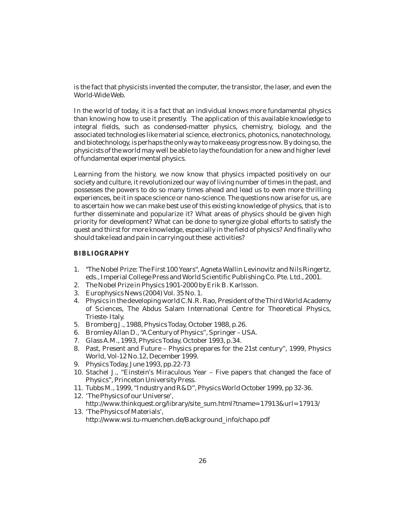is the fact that physicists invented the computer, the transistor, the laser, and even the World-Wide Web.

In the world of today, it is a fact that an individual knows more fundamental physics than knowing how to use it presently. The application of this available knowledge to integral fields, such as condensed-matter physics, chemistry, biology, and the associated technologies like material science, electronics, photonics, nanotechnology, and biotechnology, is perhaps the only way to make easy progress now. By doing so, the physicists of the world may well be able to lay the foundation for a new and higher level of fundamental experimental physics.

Learning from the history, we now know that physics impacted positively on our society and culture, it revolutionized our way of living number of times in the past, and possesses the powers to do so many times ahead and lead us to even more thrilling experiences, be it in space science or nano-science. The questions now arise for us, are to ascertain how we can make best use of this existing knowledge of physics, that is to further disseminate and popularize it? What areas of physics should be given high priority for development? What can be done to synergize global efforts to satisfy the quest and thirst for more knowledge, especially in the field of physics? And finally who should take lead and pain in carrying out these activities?

#### **BIBLIOGRAPHY**

- 1. "The Nobel Prize: The First 100 Years", Agneta Wallin Levinovitz and Nils Ringertz, eds., Imperial College Press and World Scientific Publishing Co. Pte. Ltd., 2001.
- 2. The Nobel Prize in Physics 1901-2000 by Erik B. Karlsson.
- 3. Europhysics News (2004) Vol. 35 No. 1.
- 4. Physics in the developing world C.N.R. Rao, President of the Third World Academy of Sciences, The Abdus Salam International Centre for Theoretical Physics, Trieste- Italy.
- 5. Bromberg J., 1988, Physics Today, October 1988, p.26.
- 6. Bromley Allan D., "A Century of Physics", Springer USA.
- 7. Glass A.M., 1993, Physics Today, October 1993, p.34.
- 8. Past, Present and Future Physics prepares for the 21st century", 1999, Physics World, Vol-12 No.12, December 1999.
- 9. Physics Today, June 1993, pp.22-73
- 10. Stachel J., "Einstein's Miraculous Year Five papers that changed the face of Physics", Princeton University Press.
- 11. Tubbs M., 1999, "Industry and R&D", Physics World October 1999, pp 32-36.
- 12. 'The Physics of our Universe', http://www.thinkquest.org/library/site\_sum.html?tname=17913&url=17913/ 13. 'The Physics of Materials',
	- http://www.wsi.tu-muenchen.de/Background\_info/chapo.pdf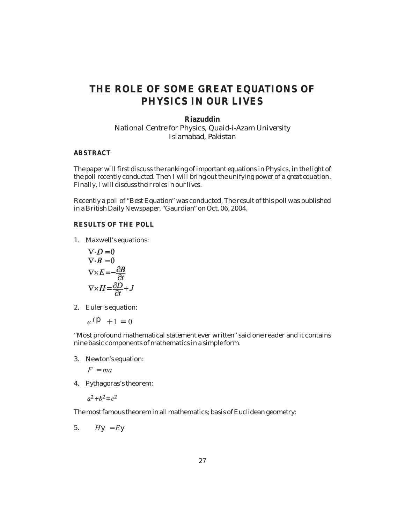## **THE ROLE OF SOME GREAT EQUATIONS OF PHYSICS IN OUR LIVES**

**Riazuddin** *National Centre for Physics, Quaid-i-Azam University Islamabad, Pakistan*

#### **ABSTRACT**

*The paper will first discuss the ranking of important equations in Physics, in the light of the poll recently conducted. Then I will bring out the unifying power of a great equation. Finally, I will discuss their roles in our lives.*

Recently a poll of "Best Equation" was conducted. The result of this poll was published in a British Daily Newspaper, "Gaurdian" on Oct. 06, 2004.

#### **RESULTS OF THE POLL**

1. Maxwell's equations:

$$
\nabla \cdot D = 0
$$
  
\n
$$
\nabla \cdot B = 0
$$
  
\n
$$
\nabla \times E = -\frac{\partial B}{\partial t}
$$
  
\n
$$
\nabla \times H = \frac{\partial D}{\partial t} + J
$$

2. Euler's equation:

$$
e^{\,i}\qquad 1\quad 0
$$

"Most profound mathematical statement ever written" said one reader and it contains nine basic components of mathematics in a simple form.

3. Newton's equation:

 $\overline{F}$ 

4. Pythagoras's theorem:

#### $a^2 + b^2 = c^2$

The most famous theorem in all mathematics; basis of Euclidean geometry:

5.  $H$  $E$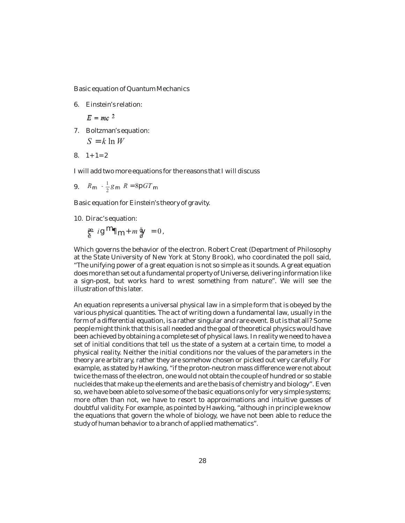Basic equation of Quantum Mechanics

6. Einstein's relation:

 $E = mc^2$ 

7. Boltzman's equation:

$$
S \quad k \ln W
$$

8.  $1+1=2$ 

I will add two more equations for the reasons that I will discuss

9.  $R = \frac{1}{2}g \quad R \quad 8 \quad GT$ 

Basic equation for Einstein's theory of gravity.

10. Dirac's equation:

*i m* <sup>0</sup>,

Which governs the behavior of the electron. Robert Creat (Department of Philosophy at the State University of New York at Stony Brook), who coordinated the poll said, "The unifying power of a great equation is not so simple as it sounds. A great equation does more than set out a fundamental property of Universe, delivering information like a sign-post, but works hard to wrest something from nature". We will see the illustration of this later.

An equation represents a universal physical law in a simple form that is obeyed by the various physical quantities. The act of writing down a fundamental law, usually in the form of a differential equation, is a rather singular and rare event. But is that all? Some people might think that this is all needed and the goal of theoretical physics would have been achieved by obtaining a complete set of physical laws. In reality we need to have a set of initial conditions that tell us the state of a system at a certain time, to model a physical reality. Neither the initial conditions nor the values of the parameters in the theory are arbitrary, rather they are somehow chosen or picked out very carefully. For example, as stated by Hawking, "if the proton-neutron mass difference were not about twice the mass of the electron, one would not obtain the couple of hundred or so stable nucleides that make up the elements and are the basis of chemistry and biology". Even so, we have been able to solve some of the basic equations only for very simple systems; more often than not, we have to resort to approximations and intuitive guesses of doubtful validity. For example, as pointed by Hawking, "although in principle we know the equations that govern the whole of biology, we have not been able to reduce the study of human behavior to a branch of applied mathematics".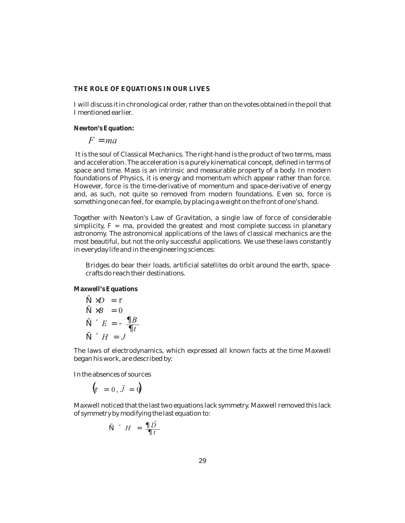#### **THE ROLE OF EQUATIONS IN OUR LIVES**

I will discuss it in chronological order, rather than on the votes obtained in the poll that I mentioned earlier.

**Newton's Equation:**

 $\overline{F}$ *F ma*

It is the soul of Classical Mechanics. The right-hand is the product of two terms, mass and acceleration. The acceleration is a purely kinematical concept, defined in terms of space and time. Mass is an intrinsic and measurable property of a body. In modern foundations of Physics, it is energy and momentum which appear rather than force. However, force is the time-derivative of momentum and space-derivative of energy and, as such, not quite so removed from modern foundations. Even so, force is something one can feel, for example, by placing a weight on the front of one's hand.

Together with Newton's Law of Gravitation, a single law of force of considerable  $s$ implicity,  $F = ma$ , provided the greatest and most complete success in planetary astronomy. The astronomical applications of the laws of classical mechanics are the most beautiful, but not the only successful applications. We use these laws constantly in everyday life and in the engineering sciences:

Bridges do bear their loads, artificial satellites do orbit around the earth, spacecrafts do reach their destinations.

**Maxwell's Equations**

$$
\begin{array}{ccc}\nD & & & \\
B & 0 & & \\
E & \xrightarrow{B} & \\
H & J & & \n\end{array}
$$

The laws of electrodynamics, which expressed all known facts at the time Maxwell began his work, are described by:

In the absences of sources

 $0, \vec{J}$  0

Maxwell noticed that the last two equations lack symmetry. Maxwell removed this lack of symmetry by modifying the last equation to:

$$
H \quad \frac{\vec{D}}{t}
$$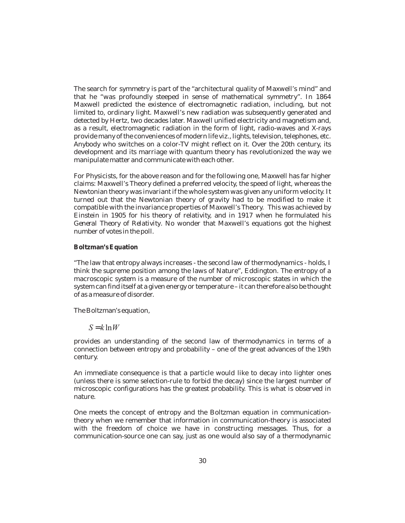The search for symmetry is part of the "architectural quality of Maxwell's mind" and that he "was profoundly steeped in sense of mathematical symmetry". In 1864 Maxwell predicted the existence of electromagnetic radiation, including, but not limited to, ordinary light. Maxwell's new radiation was subsequently generated and detected by Hertz, two decades later. Maxwell unified electricity and magnetism and, as a result, electromagnetic radiation in the form of light, radio-waves and X-rays provide many of the conveniences of modern life viz., lights, television, telephones, etc. Anybody who switches on a color-TV might reflect on it. Over the 20th century, its development and its marriage with quantum theory has revolutionized the way we manipulate matter and communicate with each other.

For Physicists, for the above reason and for the following one, Maxwell has far higher claims: Maxwell's Theory defined a preferred velocity, the speed of light, whereas the Newtonian theory was invariant if the whole system was given any uniform velocity. It turned out that the Newtonian theory of gravity had to be modified to make it compatible with the invariance properties of Maxwell's Theory. This was achieved by Einstein in 1905 for his theory of relativity, and in 1917 when he formulated his *General Theory of Relativity*. No wonder that Maxwell's equations got the highest number of votes in the poll.

#### **Boltzman's Equation**

"The law that entropy always increases - the second law of thermodynamics - holds, I think the supreme position among the laws of Nature", Eddington. The entropy of a macroscopic system is a measure of the number of microscopic states in which the system can find itself at a given energy or temperature – it can therefore also be thought of as a measure of disorder.

The Boltzman's equation,

*S k* ln*W*

provides an understanding of the second law of thermodynamics in terms of a connection between entropy and probability – one of the great advances of the 19th century.

An immediate consequence is that a particle would like to decay into lighter ones (unless there is some selection-rule to forbid the decay) since the largest number of microscopic configurations has the greatest probability. This is what is observed in nature.

One meets the concept of entropy and the Boltzman equation in communicationtheory when we remember that information in communication-theory is associated with the freedom of choice we have in constructing messages. Thus, for a communication-source one can say, just as one would also say of a thermodynamic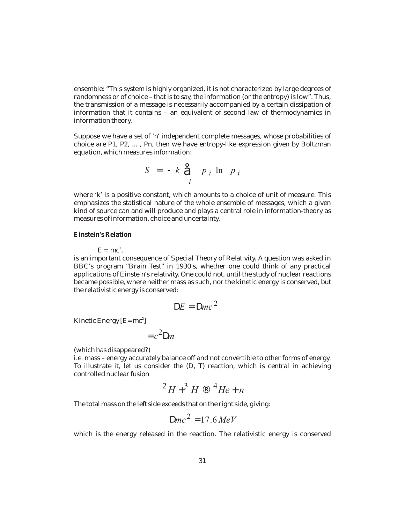ensemble: "This system is highly organized, it is not characterized by large degrees of randomness or of choice – that is to say, the information (or the entropy) is low". Thus, the transmission of a message is necessarily accompanied by a certain dissipation of information that it contains – an equivalent of second law of thermodynamics in information theory.

Suppose we have a set of 'n' independent complete messages, whose probabilities of choice are P1, P2, ..., Pn, then we have entropy-like expression given by Boltzman equation, which measures information:

$$
S \qquad k \qquad p_i \ln p_i
$$

where 'k' is a positive constant, which amounts to a choice of unit of measure. This emphasizes the statistical nature of the whole ensemble of messages, which a given kind of source can and will produce and plays a central role in information-theory as measures of information, choice and uncertainty.

**Einstein's Relation**

 $E = mc^2$ ,

is an important consequence of Special Theory of Relativity. A question was asked in BBC's program "Brain Test" in 1930's, whether one could think of any practical applications of Einstein's relativity. One could not, until the study of nuclear reactions became possible, where neither mass as such, nor the kinetic energy is conserved, but the relativistic energy is conserved:

$$
E \, mc^2
$$

Kinetic Energy  $[E=mc^2]$ 

$$
c^2 \cdot m
$$

(which has disappeared?)

i.e. mass – energy accurately balance off and not convertible to other forms of energy. To illustrate it, let us consider the (D, T) reaction, which is central in achieving controlled nuclear fusion

$$
^2H \quad ^3H \quad ^4He \quad n
$$

The total mass on the left side exceeds that on the right side, giving: *H H He n*

$$
mc^2 \quad 17.6 \, MeV
$$

which is the energy released in the reaction. The relativistic energy is conserved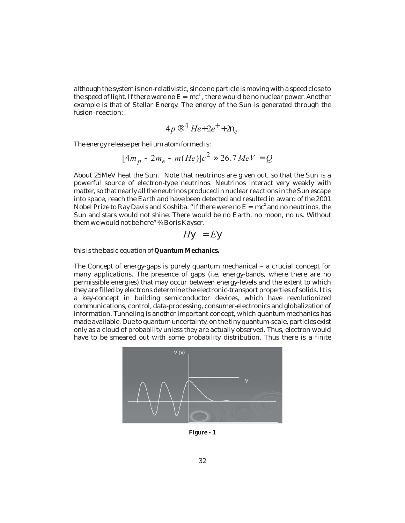although the system is non-relativistic, since no particle is moving with a speed close to the speed of light. If there were no  $E = mc^2$  , there would be no nuclear power. Another example is that of Stellar Energy. The energy of the Sun is generated through the fusion- reaction:

$$
4p \quad ^4He \quad 2e \quad 2_e
$$

The energy release per helium atom formed is:

$$
[4m_p \quad 2m_e \quad m(He)]c^2 \quad 26.7 \, MeV \quad Q
$$

About 25MeV heat the Sun. Note that neutrinos are given out, so that the Sun is a powerful source of electron-type neutrinos. Neutrinos interact very weakly with matter, so that nearly all the neutrinos produced in nuclear reactions in the Sun escape into space, reach the Earth and have been detected and resulted in award of the 2001 Nobel Prize to Ray Davis and Koshiba. "If there were no  $E = mc^2$  and no neutrinos, the Sun and stars would not shine. There would be no Earth, no moon, no us. Without them we would not be here" Boris Kayser.

$$
H \qquad E
$$

this is the basic equation of **Quantum Mechanics.**

The Concept of energy-gaps is purely quantum mechanical – a crucial concept for many applications. The presence of gaps (i.e. energy-bands, where there are no permissible energies) that may occur between energy-levels and the extent to which they are filled by electrons determine the electronic-transport properties of solids. It is a key-concept in building semiconductor devices, which have revolutionized communications, control, data-processing, consumer-electronics and globalization of information. Tunneling is another important concept, which quantum mechanics has made available. Due to quantum uncertainty, on the tiny quantum-scale, particles exist only as a cloud of probability unless they are actually observed. Thus, electron would have to be smeared out with some probability distribution. Thus there is a finite



**Figure - 1**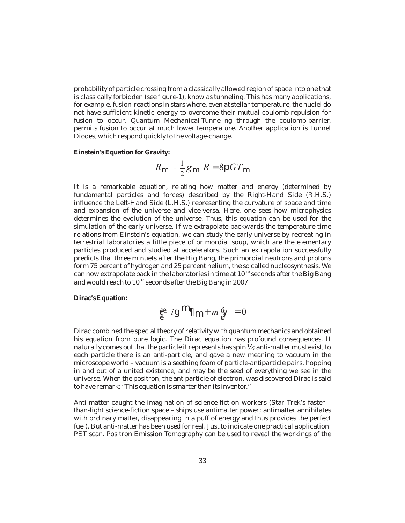probability of particle crossing from a classically allowed region of space into one that is classically forbidden (see figure-1), know as tunneling. This has many applications, for example, fusion-reactions in stars where, even at stellar temperature, the nuclei do not have sufficient kinetic energy to overcome their mutual coulomb-repulsion for fusion to occur. Quantum Mechanical-Tunneling through the coulomb-barrier, permits fusion to occur at much lower temperature. Another application is Tunnel Diodes, which respond quickly to the voltage-change.

**Einstein's Equation for Gravity:**

$$
R \quad \frac{1}{2}g \quad R \quad 8 \quad GT
$$

It is a remarkable equation, relating how matter and energy (determined by fundamental particles and forces) described by the Right-Hand Side (R.H.S.) influence the Left-Hand Side (L.H.S.) representing the curvature of space and time and expansion of the universe and vice-versa. Here, one sees how microphysics determines the evolution of the universe. Thus, this equation can be used for the simulation of the early universe. If we extrapolate backwards the temperature-time relations from Einstein's equation, we can study the early universe by recreating in terrestrial laboratories a little piece of primordial soup, which are the elementary particles produced and studied at accelerators. Such an extrapolation successfully predicts that three minuets after the Big Bang, the primordial neutrons and protons form 75 percent of hydrogen and 25 percent helium, the so called nucleosynthesis. We can now extrapolate back in the laboratories in time at  $10^{-10}$  seconds after the Big Bang and would reach to  $10^{-12}$  seconds after the Big Bang in 2007.

**Dirac's Equation:**



Dirac combined the special theory of relativity with quantum mechanics and obtained his equation from pure logic. The Dirac equation has profound consequences. It naturally comes out that the particle it represents has spin  $\frac{1}{2}$ ; anti-matter must exist, to each particle there is an anti-particle, and gave a new meaning to vacuum in the microscope world – vacuum is a seething foam of particle-antiparticle pairs, hopping in and out of a united existence, and may be the seed of everything we see in the universe. When the positron, the antiparticle of electron, was discovered Dirac is said to have remark: "This equation is smarter than its inventor."

Anti-matter caught the imagination of science-fiction workers (Star Trek's faster – than-light science-fiction space – ships use antimatter power; antimatter annihilates with ordinary matter, disappearing in a puff of energy and thus provides the perfect fuel). But anti-matter has been used for real. Just to indicate one practical application: PET scan. Positron Emission Tomography can be used to reveal the workings of the